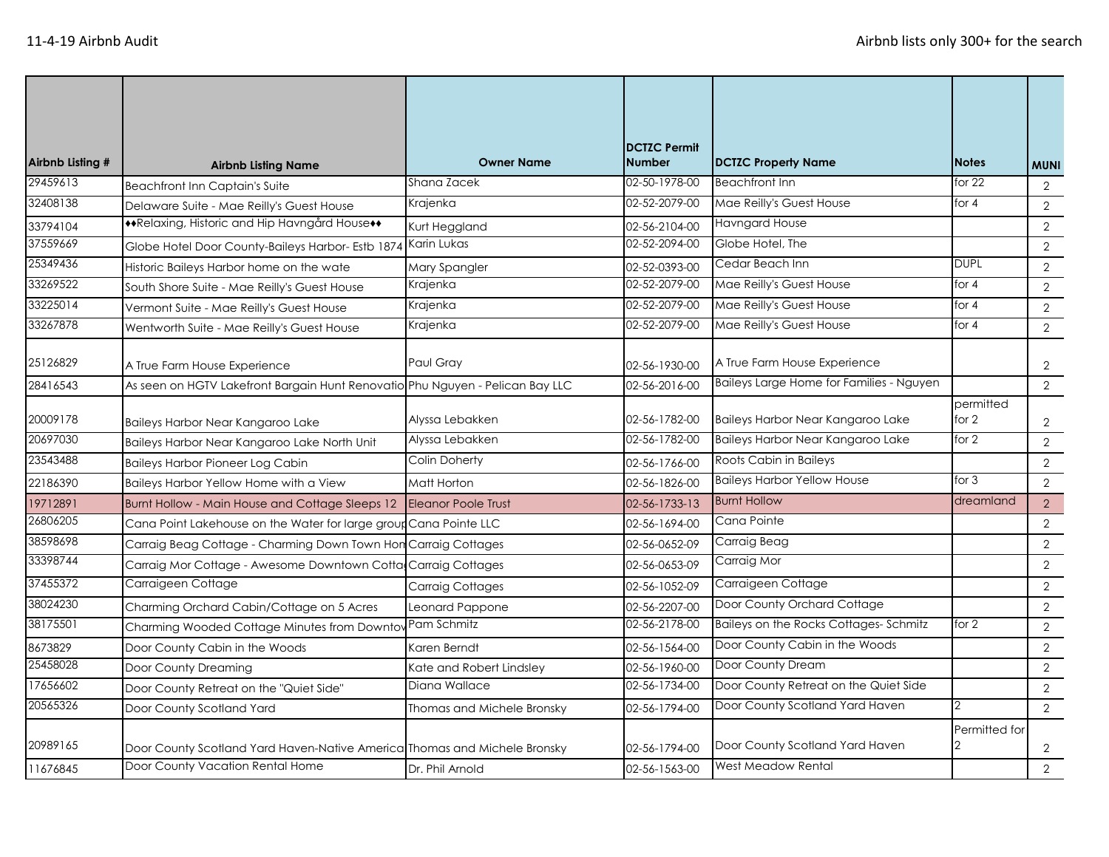| Airbnb Listing # | <b>Airbnb Listing Name</b>                                                    | <b>Owner Name</b>          | <b>DCTZC Permit</b><br><b>Number</b> | DCTZC Property Name                      | <b>Notes</b>       | <b>MUNI</b>    |
|------------------|-------------------------------------------------------------------------------|----------------------------|--------------------------------------|------------------------------------------|--------------------|----------------|
| 29459613         | <b>Beachfront Inn Captain's Suite</b>                                         | Shana Zacek                | 02-50-1978-00                        | <b>Beachfront Inn</b>                    | for $22$           | $\overline{2}$ |
| 32408138         | Delaware Suite - Mae Reilly's Guest House                                     | Krajenka                   | 02-52-2079-00                        | Mae Reilly's Guest House                 | for $4$            | $\overline{2}$ |
| 33794104         | **Relaxing, Historic and Hip Havngård House**                                 | Kurt Heggland              | 02-56-2104-00                        | <b>Havngard House</b>                    |                    | $\sqrt{2}$     |
| 37559669         | Globe Hotel Door County-Baileys Harbor- Estb 1874                             | Karin Lukas                | 02-52-2094-00                        | Globe Hotel, The                         |                    | $\overline{2}$ |
| 25349436         | Historic Baileys Harbor home on the wate                                      | Mary Spangler              | 02-52-0393-00                        | Cedar Beach Inn                          | <b>DUPL</b>        | 2              |
| 33269522         | South Shore Suite - Mae Reilly's Guest House                                  | Krajenka                   | 02-52-2079-00                        | Mae Reilly's Guest House                 | for $4$            | 2              |
| 33225014         | Vermont Suite - Mae Reilly's Guest House                                      | Krajenka                   | 02-52-2079-00                        | Mae Reilly's Guest House                 | for $4$            | 2              |
| 33267878         | Wentworth Suite - Mae Reilly's Guest House                                    | Krajenka                   | 02-52-2079-00                        | Mae Reilly's Guest House                 | for $4$            | 2              |
| 25126829         | A True Farm House Experience                                                  | Paul Gray                  | 02-56-1930-00                        | A True Farm House Experience             |                    | 2              |
| 28416543         | As seen on HGTV Lakefront Bargain Hunt Renovatio Phu Nguyen - Pelican Bay LLC |                            | 02-56-2016-00                        | Baileys Large Home for Families - Nguyen |                    | $\overline{2}$ |
| 20009178         | Baileys Harbor Near Kangaroo Lake                                             | Alyssa Lebakken            | 02-56-1782-00                        | Baileys Harbor Near Kangaroo Lake        | permitted<br>for 2 | 2              |
| 20697030         | Baileys Harbor Near Kangaroo Lake North Unit                                  | Alyssa Lebakken            | 02-56-1782-00                        | Baileys Harbor Near Kangaroo Lake        | for $2$            | $\overline{2}$ |
| 23543488         | <b>Baileys Harbor Pioneer Log Cabin</b>                                       | Colin Doherty              | 02-56-1766-00                        | Roots Cabin in Baileys                   |                    | $\overline{2}$ |
| 22186390         | Baileys Harbor Yellow Home with a View                                        | Matt Horton                | 02-56-1826-00                        | <b>Baileys Harbor Yellow House</b>       | for $3$            | 2              |
| 19712891         | Burnt Hollow - Main House and Cottage Sleeps 12                               | <b>Eleanor Poole Trust</b> | 02-56-1733-13                        | <b>Burnt Hollow</b>                      | dreamland          | 2              |
| 26806205         | Cana Point Lakehouse on the Water for large group Cana Pointe LLC             |                            | 02-56-1694-00                        | Cana Pointe                              |                    | 2              |
| 38598698         | Carraig Beag Cottage - Charming Down Town Hon Carraig Cottages                |                            | 02-56-0652-09                        | Carraig Beag                             |                    | $\overline{2}$ |
| 33398744         | Carraig Mor Cottage - Awesome Downtown Cotta                                  | Carraig Cottages           | 02-56-0653-09                        | Carraig Mor                              |                    | 2              |
| 37455372         | Carraigeen Cottage                                                            | <b>Carraig Cottages</b>    | 02-56-1052-09                        | Carraigeen Cottage                       |                    | $\overline{2}$ |
| 38024230         | Charming Orchard Cabin/Cottage on 5 Acres                                     | Leonard Pappone            | 02-56-2207-00                        | Door County Orchard Cottage              |                    | 2              |
| 38175501         | Charming Wooded Cottage Minutes from Downto                                   | Pam Schmitz                | 02-56-2178-00                        | Baileys on the Rocks Cottages-Schmitz    | for $2$            | 2              |
| 8673829          | Door County Cabin in the Woods                                                | Karen Berndt               | 02-56-1564-00                        | Door County Cabin in the Woods           |                    | 2              |
| 25458028         | Door County Dreaming                                                          | Kate and Robert Lindsley   | 02-56-1960-00                        | Door County Dream                        |                    | 2              |
| 17656602         | Door County Retreat on the "Quiet Side"                                       | Diana Wallace              | 02-56-1734-00                        | Door County Retreat on the Quiet Side    |                    | 2              |
| 20565326         | Door County Scotland Yard                                                     | Thomas and Michele Bronsky | 02-56-1794-00                        | Door County Scotland Yard Haven          |                    | 2              |
| 20989165         | Door County Scotland Yard Haven-Native America Thomas and Michele Bronsky     |                            | 02-56-1794-00                        | Door County Scotland Yard Haven          | Permitted for      | $\overline{2}$ |
| 11676845         | Door County Vacation Rental Home                                              | Dr. Phil Arnold            | 02-56-1563-00                        | West Meadow Rental                       |                    | 2              |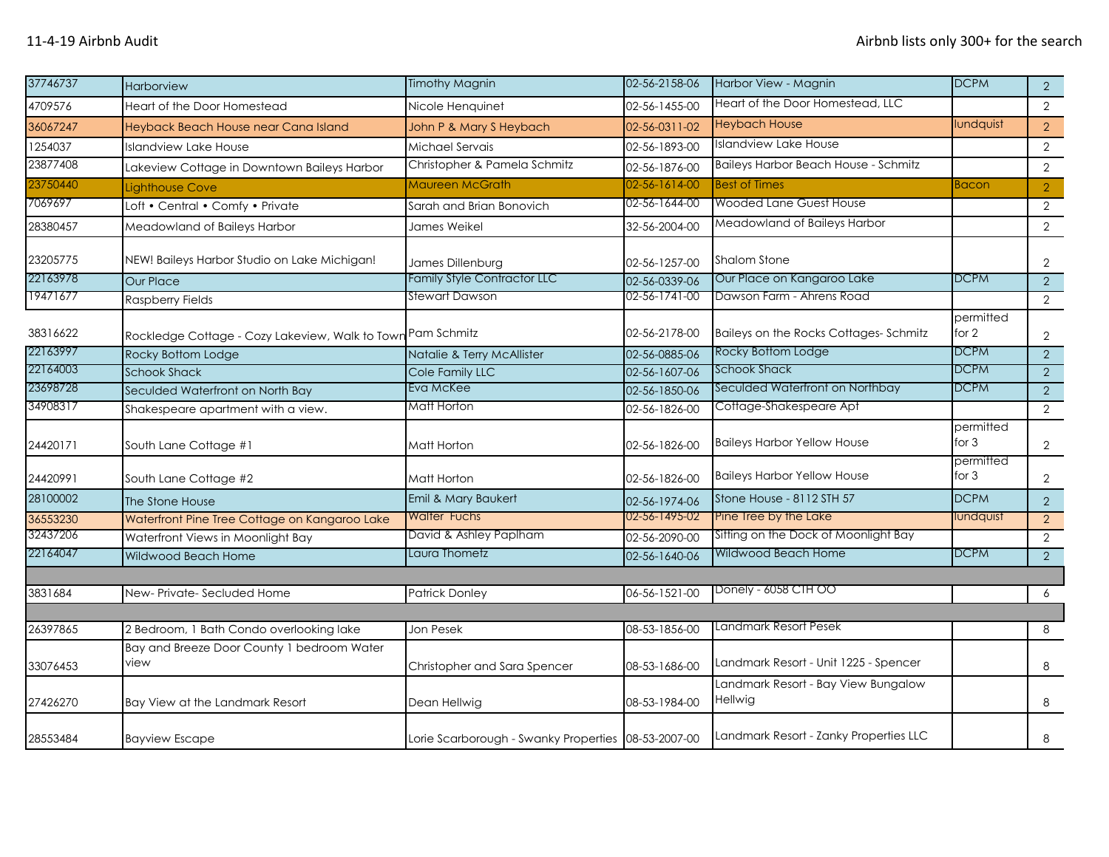| 37746737 | Harborview                                         | <b>Timothy Magnin</b>                               | 02-56-2158-06 | Harbor View - Magnin                           | <b>DCPM</b>          | $\overline{2}$ |
|----------|----------------------------------------------------|-----------------------------------------------------|---------------|------------------------------------------------|----------------------|----------------|
| 4709576  | Heart of the Door Homestead                        | Nicole Henquinet                                    | 02-56-1455-00 | Heart of the Door Homestead, LLC               |                      | $\overline{2}$ |
| 36067247 | Heyback Beach House near Cana Island               | John P & Mary S Heybach                             | 02-56-0311-02 | <b>Heybach House</b>                           | lundquist            | $\overline{2}$ |
| 1254037  | Islandview Lake House                              | Michael Servais                                     | 02-56-1893-00 | <b>Islandview Lake House</b>                   |                      | $\overline{2}$ |
| 23877408 | Lakeview Cottage in Downtown Baileys Harbor        | Christopher & Pamela Schmitz                        | 02-56-1876-00 | <b>Baileys Harbor Beach House - Schmitz</b>    |                      | $\overline{2}$ |
| 23750440 | Lighthouse Cove                                    | Maureen McGrath                                     | 02-56-1614-00 | <b>Best of Times</b>                           | Bacon                | $\overline{2}$ |
| 7069697  | Loft • Central • Comfy • Private                   | Sarah and Brian Bonovich                            | 02-56-1644-00 | Wooded Lane Guest House                        |                      | $\mathbf{2}$   |
| 28380457 | Meadowland of Baileys Harbor                       | James Weikel                                        | 32-56-2004-00 | Meadowland of Baileys Harbor                   |                      | $\overline{2}$ |
| 23205775 | NEW! Baileys Harbor Studio on Lake Michigan!       | James Dillenburg                                    | 02-56-1257-00 | <b>Shalom Stone</b>                            |                      | 2              |
| 22163978 | <b>Our Place</b>                                   | Family Style Contractor LLC                         | 02-56-0339-06 | Our Place on Kangaroo Lake                     | <b>DCPM</b>          | $\overline{2}$ |
| 19471677 | Raspberry Fields                                   | Stewart Dawson                                      | 02-56-1741-00 | Dawson Farm - Ahrens Road                      |                      | $\overline{2}$ |
| 38316622 | Rockledge Cottage - Cozy Lakeview, Walk to Town    | Pam Schmitz                                         | 02-56-2178-00 | Baileys on the Rocks Cottages-Schmitz          | permitted<br>for $2$ | 2              |
| 22163997 | Rocky Bottom Lodge                                 | Natalie & Terry McAllister                          | 02-56-0885-06 | Rocky Bottom Lodge                             | <b>DCPM</b>          | $\overline{2}$ |
| 22164003 | <b>Schook Shack</b>                                | Cole Family LLC                                     | 02-56-1607-06 | <b>Schook Shack</b>                            | <b>DCPM</b>          | $\overline{2}$ |
| 23698728 | Seculded Waterfront on North Bay                   | Eva McKee                                           | 02-56-1850-06 | Seculded Waterfront on Northbay                | <b>DCPM</b>          | $\overline{2}$ |
| 34908317 | Shakespeare apartment with a view.                 | Matt Horton                                         | 02-56-1826-00 | Cottage-Shakespeare Apt                        |                      | $\overline{2}$ |
| 24420171 | South Lane Cottage #1                              | Matt Horton                                         | 02-56-1826-00 | <b>Baileys Harbor Yellow House</b>             | permitted<br>for 3   | $\overline{2}$ |
| 24420991 | South Lane Cottage #2                              | Matt Horton                                         | 02-56-1826-00 | <b>Baileys Harbor Yellow House</b>             | permitted<br>for 3   | $\overline{2}$ |
| 28100002 | The Stone House                                    | Emil & Mary Baukert                                 | 02-56-1974-06 | Stone House - 8112 STH 57                      | <b>DCPM</b>          | $\overline{2}$ |
| 36553230 | Waterfront Pine Tree Cottage on Kangaroo Lake      | <b>Walter Fuchs</b>                                 | 02-56-1495-02 | Pine Tree by the Lake                          | lundquist            | $\overline{2}$ |
| 32437206 | Waterfront Views in Moonlight Bay                  | David & Ashley Paplham                              | 02-56-2090-00 | Sitting on the Dock of Moonlight Bay           |                      | $\overline{2}$ |
| 22164047 | Wildwood Beach Home                                | Laura Thometz                                       | 02-56-1640-06 | Wildwood Beach Home                            | <b>DCPM</b>          | $\overline{2}$ |
| 3831684  | New-Private-Secluded Home                          | <b>Patrick Donley</b>                               | 06-56-1521-00 | Donely - 6058 CTH OO                           |                      | 6              |
| 26397865 | 2 Bedroom, 1 Bath Condo overlooking lake           | Jon Pesek                                           | 08-53-1856-00 | andmark Resort Pesek.                          |                      | 8              |
| 33076453 | Bay and Breeze Door County 1 bedroom Water<br>view | Christopher and Sara Spencer                        | 08-53-1686-00 | Landmark Resort - Unit 1225 - Spencer          |                      | 8              |
| 27426270 | Bay View at the Landmark Resort                    | Dean Hellwig                                        | 08-53-1984-00 | Landmark Resort - Bay View Bungalow<br>Hellwig |                      | 8              |
| 28553484 | <b>Bayview Escape</b>                              | Lorie Scarborough - Swanky Properties 08-53-2007-00 |               | Landmark Resort - Zanky Properties LLC         |                      | 8              |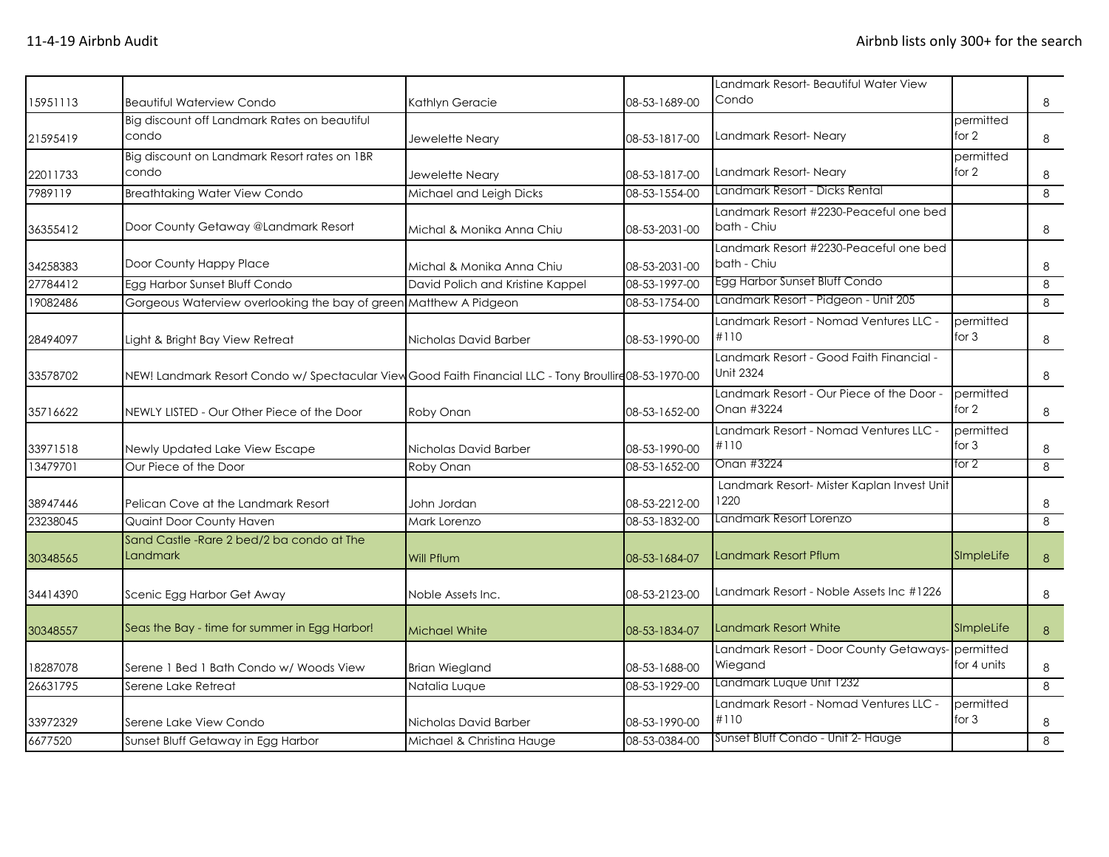|          |                                                                                                       |                                  |               | Landmark Resort-Beautiful Water View                         |                          |                |
|----------|-------------------------------------------------------------------------------------------------------|----------------------------------|---------------|--------------------------------------------------------------|--------------------------|----------------|
| 15951113 | <b>Beautiful Waterview Condo</b>                                                                      | Kathlyn Geracie                  | 08-53-1689-00 | Condo                                                        |                          | 8              |
|          | Big discount off Landmark Rates on beautiful                                                          |                                  |               |                                                              | permitted                |                |
| 21595419 | condo                                                                                                 | Jewelette Neary                  | 08-53-1817-00 | Landmark Resort-Neary                                        | for 2                    | 8              |
|          | Big discount on Landmark Resort rates on 1BR                                                          |                                  |               |                                                              | permitted                |                |
| 22011733 | condo                                                                                                 | Jewelette Neary                  | 08-53-1817-00 | Landmark Resort-Neary                                        | for $2$                  | 8              |
| 7989119  | <b>Breathtaking Water View Condo</b>                                                                  | Michael and Leigh Dicks          | 08-53-1554-00 | Landmark Resort - Dicks Rental                               |                          | 8              |
| 36355412 | Door County Getaway @Landmark Resort                                                                  | Michal & Monika Anna Chiu        | 08-53-2031-00 | Landmark Resort #2230-Peaceful one bed<br>bath - Chiu        |                          | 8              |
| 34258383 | Door County Happy Place                                                                               | Michal & Monika Anna Chiu        | 08-53-2031-00 | Landmark Resort #2230-Peaceful one bed<br>bath - Chiu        |                          | 8              |
| 27784412 | Egg Harbor Sunset Bluff Condo                                                                         | David Polich and Kristine Kappel | 08-53-1997-00 | Egg Harbor Sunset Bluff Condo                                |                          | 8              |
| 19082486 | Gorgeous Waterview overlooking the bay of green Matthew A Pidgeon                                     |                                  | 08-53-1754-00 | Landmark Resort - Pidgeon - Unit 205                         |                          | 8              |
| 28494097 | Light & Bright Bay View Retreat                                                                       | Nicholas David Barber            | 08-53-1990-00 | Landmark Resort - Nomad Ventures LLC -<br>#110               | permitted<br>for $3$     | 8              |
| 33578702 | NEW! Landmark Resort Condo w/ Spectacular View Good Faith Financial LLC - Tony Broullire08-53-1970-00 |                                  |               | Landmark Resort - Good Faith Financial -<br><b>Unit 2324</b> |                          | 8              |
| 35716622 | NEWLY LISTED - Our Other Piece of the Door                                                            | Roby Onan                        | 08-53-1652-00 | Landmark Resort - Our Piece of the Door -<br>Onan #3224      | permitted<br>for 2       | 8              |
| 33971518 | Newly Updated Lake View Escape                                                                        | Nicholas David Barber            | 08-53-1990-00 | Landmark Resort - Nomad Ventures LLC -<br>#110               | permitted<br>for $3$     | 8              |
| 13479701 | Our Piece of the Door                                                                                 | Roby Onan                        | 08-53-1652-00 | Onan #3224                                                   | for 2                    | 8              |
| 38947446 | Pelican Cove at the Landmark Resort                                                                   | John Jordan                      | 08-53-2212-00 | Landmark Resort- Mister Kaplan Invest Unit<br>1220           |                          | 8              |
| 23238045 | Quaint Door County Haven                                                                              | Mark Lorenzo                     | 08-53-1832-00 | Landmark Resort Lorenzo                                      |                          | 8              |
| 30348565 | Sand Castle - Rare 2 bed/2 ba condo at The<br><b>Landmark</b>                                         | Will Pflum                       | 08-53-1684-07 | Landmark Resort Pflum                                        | SImpleLife               | 8              |
| 34414390 | Scenic Egg Harbor Get Away                                                                            | Noble Assets Inc.                | 08-53-2123-00 | Landmark Resort - Noble Assets Inc #1226                     |                          | 8              |
| 30348557 | Seas the Bay - time for summer in Egg Harbor!                                                         | <b>Michael White</b>             | 08-53-1834-07 | Landmark Resort White                                        | SImpleLife               | 8 <sup>°</sup> |
| 18287078 | Serene 1 Bed 1 Bath Condo w/ Woods View                                                               | <b>Brian Wiegland</b>            | 08-53-1688-00 | Landmark Resort - Door County Getaways-<br>Wiegand           | permitted<br>for 4 units | 8              |
| 26631795 | Serene Lake Retreat                                                                                   | Natalia Luque                    | 08-53-1929-00 | Landmark Luque Unit 1232                                     |                          | 8              |
| 33972329 | Serene Lake View Condo                                                                                | Nicholas David Barber            | 08-53-1990-00 | Landmark Resort - Nomad Ventures LLC -<br>#110               | permitted<br>for $3$     | 8              |
| 6677520  | Sunset Bluff Getaway in Egg Harbor                                                                    | Michael & Christina Hauge        | 08-53-0384-00 | Sunset Bluff Condo - Unit 2- Hauge                           |                          | 8              |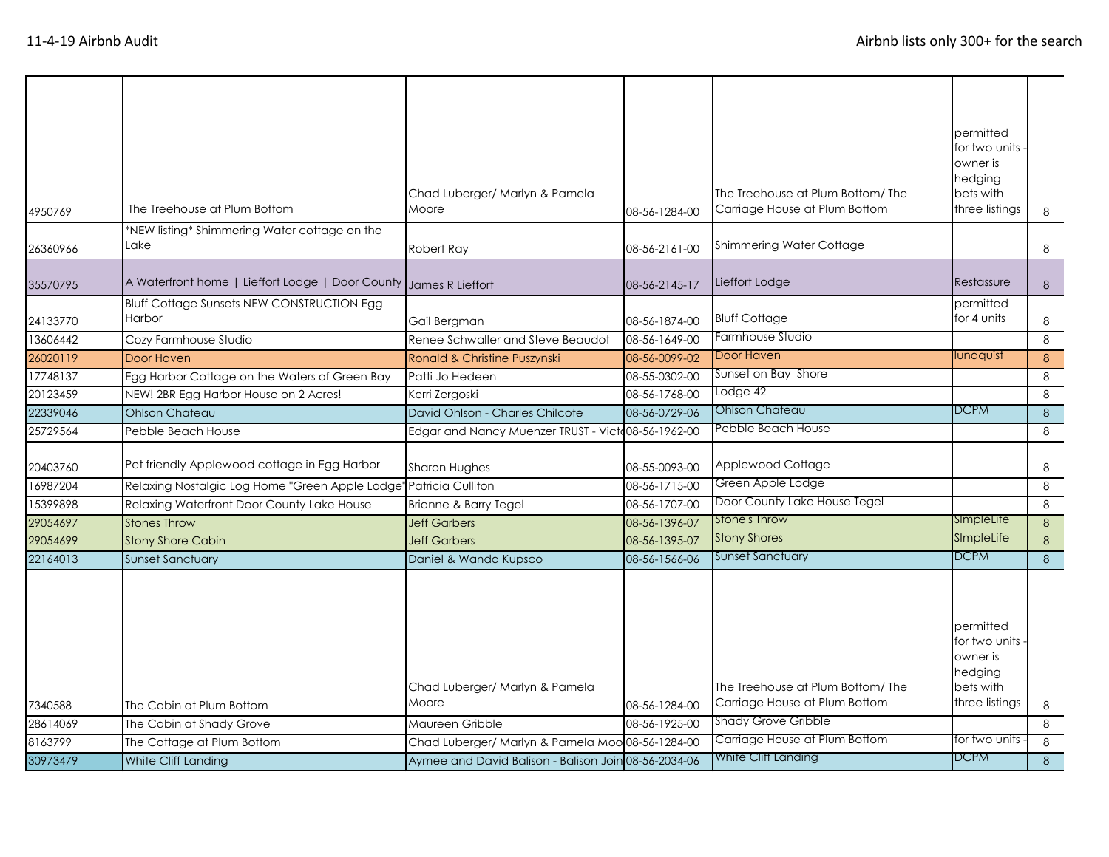| 4950769  | The Treehouse at Plum Bottom                                | Chad Luberger/ Marlyn & Pamela<br>Moore              | 08-56-1284-00 | The Treehouse at Plum Bottom/The<br>Carriage House at Plum Bottom | permitted<br>for two units<br>owner is<br>hedging<br>bets with<br>three listings | 8 |
|----------|-------------------------------------------------------------|------------------------------------------------------|---------------|-------------------------------------------------------------------|----------------------------------------------------------------------------------|---|
| 26360966 | *NEW listing* Shimmering Water cottage on the<br>Lake       | Robert Ray                                           | 08-56-2161-00 | Shimmering Water Cottage                                          |                                                                                  | 8 |
| 35570795 | A Waterfront home   Lieffort Lodge   Door County            | James R Lieffort                                     | 08-56-2145-17 | Lieffort Lodge                                                    | Restassure                                                                       | 8 |
| 24133770 | <b>Bluff Cottage Sunsets NEW CONSTRUCTION Egg</b><br>Harbor | Gail Bergman                                         | 08-56-1874-00 | <b>Bluff Cottage</b>                                              | permitted<br>for 4 units                                                         | 8 |
| 13606442 | Cozy Farmhouse Studio                                       | Renee Schwaller and Steve Beaudot                    | 08-56-1649-00 | Farmhouse Studio                                                  |                                                                                  | 8 |
| 26020119 | Door Haven                                                  | Ronald & Christine Puszynski                         | 08-56-0099-02 | Door Haven                                                        | lundquist                                                                        | 8 |
| 17748137 | Egg Harbor Cottage on the Waters of Green Bay               | Patti Jo Hedeen                                      | 08-55-0302-00 | Sunset on Bay Shore                                               |                                                                                  | 8 |
| 20123459 | NEW! 2BR Egg Harbor House on 2 Acres!                       | Kerri Zergoski                                       | 08-56-1768-00 | Lodge 42                                                          |                                                                                  | 8 |
| 22339046 | <b>Ohlson Chateau</b>                                       | David Ohlson - Charles Chilcote                      | 08-56-0729-06 | Ohlson Chateau                                                    | <b>DCPM</b>                                                                      | 8 |
| 25729564 | Pebble Beach House                                          | Edgar and Nancy Muenzer TRUST - Victo08-56-1962-00   |               | Pebble Beach House                                                |                                                                                  | 8 |
| 20403760 | Pet friendly Applewood cottage in Egg Harbor                | Sharon Hughes                                        | 08-55-0093-00 | Applewood Cottage                                                 |                                                                                  | 8 |
| 16987204 | Relaxing Nostalgic Log Home "Green Apple Lodge"             | Patricia Culliton                                    | 08-56-1715-00 | Green Apple Lodge                                                 |                                                                                  | 8 |
| 15399898 | Relaxing Waterfront Door County Lake House                  | Brianne & Barry Tegel                                | 08-56-1707-00 | Door County Lake House Tegel                                      |                                                                                  | 8 |
| 29054697 | <b>Stones Throw</b>                                         | <b>Jeff Garbers</b>                                  | 08-56-1396-07 | <b>Stone's Throw</b>                                              | SImpleLife                                                                       | 8 |
| 29054699 | <b>Stony Shore Cabin</b>                                    | <b>Jeff Garbers</b>                                  | 08-56-1395-07 | <b>Stony Shores</b>                                               | SImpleLife                                                                       | 8 |
| 22164013 | <b>Sunset Sanctuary</b>                                     | Daniel & Wanda Kupsco                                | 08-56-1566-06 | Sunset Sanctuary                                                  | <b>DCPM</b>                                                                      | 8 |
| 7340588  | The Cabin at Plum Bottom                                    | Chad Luberger/ Marlyn & Pamela<br>Moore              | 08-56-1284-00 | The Treehouse at Plum Bottom/The<br>Carriage House at Plum Bottom | permitted<br>for two units<br>owner is<br>hedging<br>bets with<br>three listings | 8 |
| 28614069 | The Cabin at Shady Grove                                    | Maureen Gribble                                      | 08-56-1925-00 | <b>Shady Grove Gribble</b>                                        |                                                                                  | 8 |
| 8163799  | The Cottage at Plum Bottom                                  | Chad Luberger/ Marlyn & Pamela Moo 08-56-1284-00     |               | Carriage House at Plum Bottom                                     | for two units                                                                    | 8 |
| 30973479 | White Cliff Landing                                         | Aymee and David Balison - Balison Join 08-56-2034-06 |               | White Cliff Landing                                               | <b>DCPM</b>                                                                      | 8 |
|          |                                                             |                                                      |               |                                                                   |                                                                                  |   |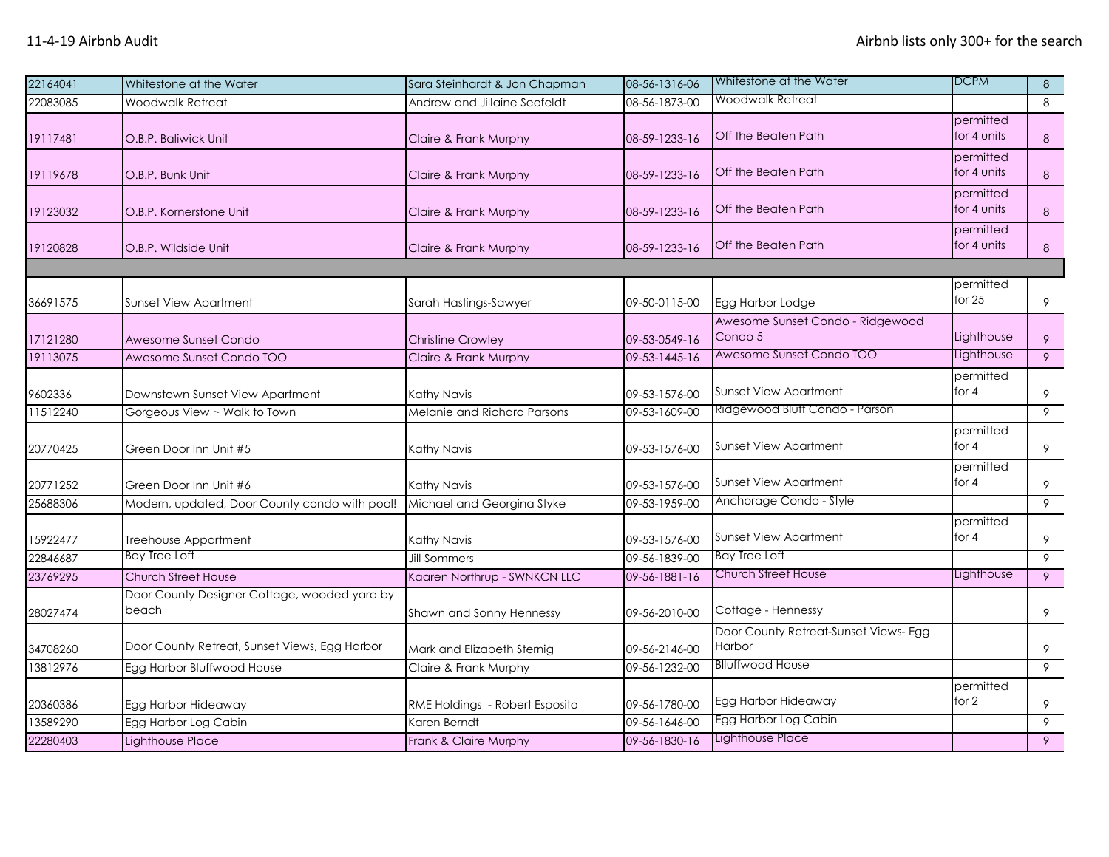| 22164041 | Whitestone at the Water                               | Sara Steinhardt & Jon Chapman  | 08-56-1316-06 | Whitestone at the Water                         | <b>DCPM</b>              | 8              |
|----------|-------------------------------------------------------|--------------------------------|---------------|-------------------------------------------------|--------------------------|----------------|
| 22083085 | Woodwalk Retreat                                      | Andrew and Jillaine Seefeldt   | 08-56-1873-00 | Woodwalk Retreat                                |                          | 8              |
| 19117481 | O.B.P. Baliwick Unit                                  | Claire & Frank Murphy          | 08-59-1233-16 | Off the Beaten Path                             | permitted<br>for 4 units | $\bf 8$        |
| 19119678 | O.B.P. Bunk Unit                                      | Claire & Frank Murphy          | 08-59-1233-16 | Off the Beaten Path                             | permitted<br>for 4 units | $\bf 8$        |
| 19123032 | O.B.P. Kornerstone Unit                               | Claire & Frank Murphy          | 08-59-1233-16 | Off the Beaten Path                             | permitted<br>for 4 units | 8              |
| 19120828 | O.B.P. Wildside Unit                                  | Claire & Frank Murphy          | 08-59-1233-16 | Off the Beaten Path                             | permitted<br>for 4 units | 8              |
|          |                                                       |                                |               |                                                 |                          |                |
| 36691575 | <b>Sunset View Apartment</b>                          | Sarah Hastings-Sawyer          | 09-50-0115-00 | Egg Harbor Lodge                                | permitted<br>for $25$    | 9              |
| 17121280 | Awesome Sunset Condo                                  | <b>Christine Crowley</b>       | 09-53-0549-16 | Awesome Sunset Condo - Ridgewood<br>Condo 5     | Lighthouse               | 9              |
| 19113075 | Awesome Sunset Condo TOO                              | Claire & Frank Murphy          | 09-53-1445-16 | Awesome Sunset Condo TOO                        | Lighthouse               | $\overline{9}$ |
| 9602336  | Downstown Sunset View Apartment                       | Kathy Navis                    | 09-53-1576-00 | Sunset View Apartment                           | permitted<br>for 4       | 9              |
| 11512240 | Gorgeous View ~ Walk to Town                          | Melanie and Richard Parsons    | 09-53-1609-00 | Ridgewood Bluff Condo - Parson                  |                          | 9              |
| 20770425 | Green Door Inn Unit #5                                | Kathy Navis                    | 09-53-1576-00 | Sunset View Apartment                           | permitted<br>for $4$     | 9              |
| 20771252 | Green Door Inn Unit #6                                | Kathy Navis                    | 09-53-1576-00 | Sunset View Apartment                           | permitted<br>for $4$     | 9              |
| 25688306 | Modern, updated, Door County condo with pool!         | Michael and Georgina Styke     | 09-53-1959-00 | Anchorage Condo - Style                         |                          | 9              |
| 15922477 | Treehouse Appartment                                  | Kathy Navis                    | 09-53-1576-00 | Sunset View Apartment                           | permitted<br>for $4$     | 9              |
| 22846687 | <b>Bay Tree Loft</b>                                  | <b>Jill Sommers</b>            | 09-56-1839-00 | Bay Tree Loft                                   |                          | 9              |
| 23769295 | <b>Church Street House</b>                            | Kaaren Northrup - SWNKCN LLC   | 09-56-1881-16 | Church Street House                             | Lighthouse               | 9              |
| 28027474 | Door County Designer Cottage, wooded yard by<br>beach | Shawn and Sonny Hennessy       | 09-56-2010-00 | Cottage - Hennessy                              |                          | 9              |
| 34708260 | Door County Retreat, Sunset Views, Egg Harbor         | Mark and Elizabeth Sternig     | 09-56-2146-00 | Door County Retreat-Sunset Views- Egg<br>Harbor |                          | 9              |
| 13812976 | Egg Harbor Bluffwood House                            | Claire & Frank Murphy          | 09-56-1232-00 | <b>Blluffwood House</b>                         |                          | $\overline{9}$ |
| 20360386 | Egg Harbor Hideaway                                   | RME Holdings - Robert Esposito | 09-56-1780-00 | Egg Harbor Hideaway                             | permitted<br>for $2$     | 9              |
| 13589290 | Egg Harbor Log Cabin                                  | Karen Berndt                   | 09-56-1646-00 | Egg Harbor Log Cabin                            |                          | 9              |
| 22280403 | Lighthouse Place                                      | Frank & Claire Murphy          | 09-56-1830-16 | Lighthouse Place                                |                          | 9              |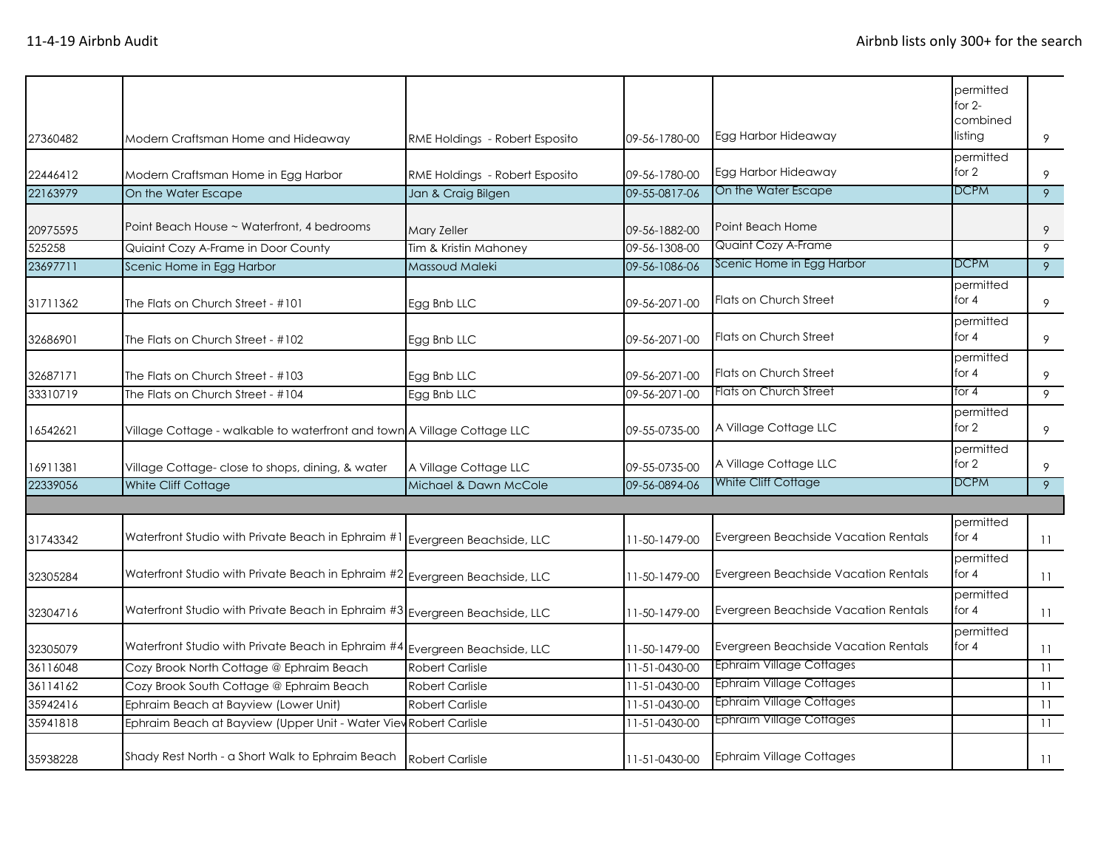| 27360482 | Modern Craftsman Home and Hideaway                                      | RME Holdings - Robert Esposito | 09-56-1780-00 | Egg Harbor Hideaway                  | permitted<br>for $2-$<br>combined<br>listing | 9  |
|----------|-------------------------------------------------------------------------|--------------------------------|---------------|--------------------------------------|----------------------------------------------|----|
|          |                                                                         |                                |               |                                      | permitted                                    |    |
| 22446412 | Modern Craftsman Home in Egg Harbor                                     | RME Holdings - Robert Esposito | 09-56-1780-00 | Egg Harbor Hideaway                  | for 2                                        | 9  |
| 22163979 | On the Water Escape                                                     | Jan & Craig Bilgen             | 09-55-0817-06 | On the Water Escape                  | <b>DCPM</b>                                  | 9  |
| 20975595 | Point Beach House ~ Waterfront, 4 bedrooms                              | Mary Zeller                    | 09-56-1882-00 | Point Beach Home                     |                                              | 9  |
| 525258   | Quiaint Cozy A-Frame in Door County                                     | Tim & Kristin Mahoney          | 09-56-1308-00 | <b>Quaint Cozy A-Frame</b>           |                                              | 9  |
| 23697711 | Scenic Home in Egg Harbor                                               | Massoud Maleki                 | 09-56-1086-06 | Scenic Home in Egg Harbor            | DCPM                                         | 9  |
| 31711362 | The Flats on Church Street - #101                                       | Egg Bnb LLC                    | 09-56-2071-00 | Flats on Church Street               | permitted<br>for $4$                         | 9  |
| 32686901 | The Flats on Church Street - #102                                       | Egg Bnb LLC                    | 09-56-2071-00 | <b>Flats on Church Street</b>        | permitted<br>for $4$                         | 9  |
| 32687171 | The Flats on Church Street - #103                                       | Egg Bnb LLC                    | 09-56-2071-00 | <b>Flats on Church Street</b>        | permitted<br>for $4$                         | 9  |
| 33310719 | The Flats on Church Street - #104                                       | Egg Bnb LLC                    | 09-56-2071-00 | Flats on Church Street               | for 4                                        | 9  |
| 16542621 | Village Cottage - walkable to waterfront and town A Village Cottage LLC |                                | 09-55-0735-00 | A Village Cottage LLC                | permitted<br>for $2$                         | 9  |
| 16911381 | Village Cottage- close to shops, dining, & water                        | A Village Cottage LLC          | 09-55-0735-00 | A Village Cottage LLC                | permitted<br>for $2$                         | 9  |
| 22339056 | White Cliff Cottage                                                     | Michael & Dawn McCole          | 09-56-0894-06 | White Cliff Cottage                  | DCPM                                         | 9  |
|          |                                                                         |                                |               |                                      |                                              |    |
| 31743342 | Waterfront Studio with Private Beach in Ephraim #                       | Evergreen Beachside, LLC       | 11-50-1479-00 | Evergreen Beachside Vacation Rentals | permitted<br>for $4$                         | 11 |
| 32305284 | Waterfront Studio with Private Beach in Ephraim #2                      | Evergreen Beachside, LLC       | 11-50-1479-00 | Evergreen Beachside Vacation Rentals | permitted<br>for $4$                         | 11 |
| 32304716 | Waterfront Studio with Private Beach in Ephraim #3                      | Evergreen Beachside, LLC       | 11-50-1479-00 | Evergreen Beachside Vacation Rentals | permitted<br>for $4$                         | 11 |
| 32305079 | Waterfront Studio with Private Beach in Ephraim #4                      | Evergreen Beachside, LLC       | 11-50-1479-00 | Evergreen Beachside Vacation Rentals | permitted<br>for $4$                         | 11 |
| 36116048 | Cozy Brook North Cottage @ Ephraim Beach                                | <b>Robert Carlisle</b>         | 11-51-0430-00 | Ephraim Village Cottages             |                                              | 11 |
| 36114162 | Cozy Brook South Cottage @ Ephraim Beach                                | <b>Robert Carlisle</b>         | 11-51-0430-00 | <b>Ephraim Village Cottages</b>      |                                              | 11 |
| 35942416 | Ephraim Beach at Bayview (Lower Unit)                                   | <b>Robert Carlisle</b>         | 11-51-0430-00 | <b>Ephraim Village Cottages</b>      |                                              | 11 |
| 35941818 | Ephraim Beach at Bayview (Upper Unit - Water View Robert Carlisle       |                                | 11-51-0430-00 | Ephraim Village Cottages             |                                              | 11 |
| 35938228 | Shady Rest North - a Short Walk to Ephraim Beach                        | <b>Robert Carlisle</b>         | 11-51-0430-00 | <b>Ephraim Village Cottages</b>      |                                              | 11 |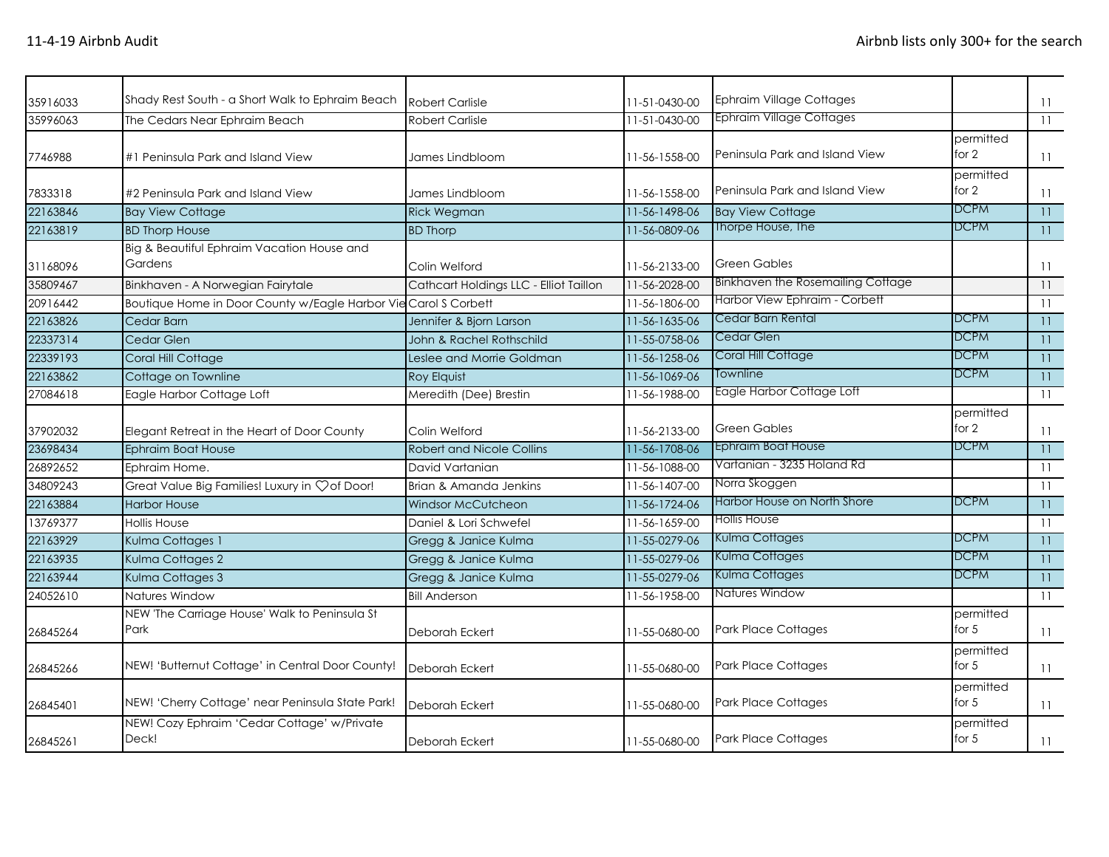| 35916033 | Shady Rest South - a Short Walk to Ephraim Beach                | <b>Robert Carlisle</b>                 | 11-51-0430-00 | Ephraim Village Cottages          |                      | $\overline{11}$ |
|----------|-----------------------------------------------------------------|----------------------------------------|---------------|-----------------------------------|----------------------|-----------------|
| 35996063 | The Cedars Near Ephraim Beach                                   | <b>Robert Carlisle</b>                 | 11-51-0430-00 | <b>Ephraim Village Cottages</b>   |                      | 11              |
| 7746988  | #1 Peninsula Park and Island View                               | James Lindbloom                        | 11-56-1558-00 | Peninsula Park and Island View    | permitted<br>for $2$ | $\overline{11}$ |
| 7833318  | #2 Peninsula Park and Island View                               | James Lindbloom                        | 11-56-1558-00 | Peninsula Park and Island View    | permitted<br>for 2   | 11              |
| 22163846 | <b>Bay View Cottage</b>                                         | <b>Rick Wegman</b>                     | 11-56-1498-06 | <b>Bay View Cottage</b>           | <b>DCPM</b>          | 11              |
| 22163819 | <b>BD Thorp House</b>                                           | <b>BD Thorp</b>                        | 11-56-0809-06 | Thorpe House, The                 | <b>DCPM</b>          | 11              |
|          | Big & Beautiful Ephraim Vacation House and                      |                                        |               |                                   |                      |                 |
| 31168096 | Gardens                                                         | Colin Welford                          | 11-56-2133-00 | <b>Green Gables</b>               |                      | 11              |
| 35809467 | Binkhaven - A Norwegian Fairytale                               | Cathcart Holdings LLC - Elliot Taillon | 11-56-2028-00 | Binkhaven the Rosemailing Cottage |                      | 11              |
| 20916442 | Boutique Home in Door County w/Eagle Harbor Vie Carol S Corbett |                                        | 11-56-1806-00 | Harbor View Ephraim - Corbett     |                      | 11              |
| 22163826 | Cedar Barn                                                      | Jennifer & Bjorn Larson                | 11-56-1635-06 | Cedar Barn Rental                 | <b>DCPM</b>          | 11              |
| 22337314 | Cedar Glen                                                      | John & Rachel Rothschild               | 11-55-0758-06 | Cedar Glen                        | <b>DCPM</b>          | 11              |
| 22339193 | Coral Hill Cottage                                              | Leslee and Morrie Goldman              | 11-56-1258-06 | Coral Hill Cottage                | <b>DCPM</b>          | 11              |
| 22163862 | Cottage on Townline                                             | Roy Elquist                            | 11-56-1069-06 | Townline                          | DCPM                 | 11              |
| 27084618 | Eagle Harbor Cottage Loft                                       | Meredith (Dee) Brestin                 | 11-56-1988-00 | Eagle Harbor Cottage Loft         |                      | 11              |
| 37902032 | Elegant Retreat in the Heart of Door County                     | Colin Welford                          | 11-56-2133-00 | <b>Green Gables</b>               | permitted<br>for 2   | 11              |
| 23698434 | Ephraim Boat House                                              | <b>Robert and Nicole Collins</b>       | 11-56-1708-06 | Ephraim Boat House                | <b>DCPM</b>          | 11              |
| 26892652 | Ephraim Home.                                                   | David Vartanian                        | 11-56-1088-00 | Vartanian - 3235 Holand Rd        |                      | 11              |
| 34809243 | Great Value Big Families! Luxury in $\heartsuit$ of Door!       | Brian & Amanda Jenkins                 | 11-56-1407-00 | Norra Skoggen                     |                      | 11              |
| 22163884 | <b>Harbor House</b>                                             | <b>Windsor McCutcheon</b>              | 11-56-1724-06 | Harbor House on North Shore       | DCPM                 | 11              |
| 13769377 | <b>Hollis House</b>                                             | Daniel & Lori Schwefel                 | 11-56-1659-00 | Hollis House                      |                      | 11              |
| 22163929 | Kulma Cottages 1                                                | Gregg & Janice Kulma                   | 11-55-0279-06 | Kulma Cottages                    | <b>DCPM</b>          | 11              |
| 22163935 | Kulma Cottages 2                                                | Gregg & Janice Kulma                   | 11-55-0279-06 | Kulma Cottages                    | <b>DCPM</b>          | 11              |
| 22163944 | Kulma Cottages 3                                                | Gregg & Janice Kulma                   | 11-55-0279-06 | Kulma Cottages                    | <b>DCPM</b>          | 11              |
| 24052610 | Natures Window                                                  | <b>Bill Anderson</b>                   | 11-56-1958-00 | Natures Window                    |                      | 11              |
| 26845264 | NEW 'The Carriage House' Walk to Peninsula St<br>Park           | Deborah Eckert                         | 11-55-0680-00 | <b>Park Place Cottages</b>        | permitted<br>for $5$ | $\overline{11}$ |
| 26845266 | NEW! 'Butternut Cottage' in Central Door County!                | Deborah Eckert                         | 11-55-0680-00 | <b>Park Place Cottages</b>        | permitted<br>for $5$ | 11              |
| 26845401 | NEW! 'Cherry Cottage' near Peninsula State Park!                | Deborah Eckert                         | 11-55-0680-00 | <b>Park Place Cottages</b>        | permitted<br>for $5$ | 11              |
| 26845261 | NEW! Cozy Ephraim 'Cedar Cottage' w/Private<br>Deck!            | Deborah Eckert                         | 11-55-0680-00 | <b>Park Place Cottages</b>        | permitted<br>for $5$ | 11              |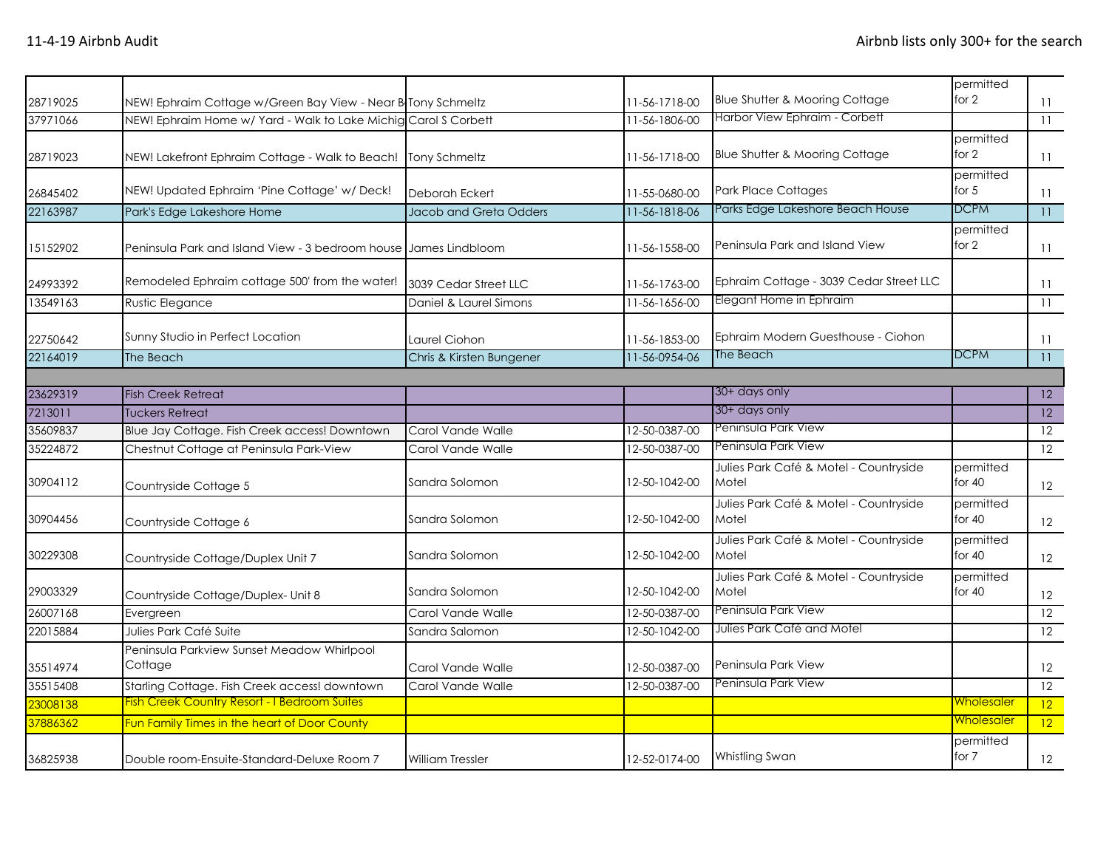| 28719025 | NEW! Ephraim Cottage w/Green Bay View - Near B Tony Schmeltz     |                          | 11-56-1718-00 | <b>Blue Shutter &amp; Mooring Cottage</b>       | permitted<br>for 2    | 11           |
|----------|------------------------------------------------------------------|--------------------------|---------------|-------------------------------------------------|-----------------------|--------------|
| 37971066 | NEW! Ephraim Home w/ Yard - Walk to Lake Michig Carol S Corbett  |                          | 11-56-1806-00 | Harbor View Ephraim - Corbett                   |                       | 11           |
| 28719023 | NEW! Lakefront Ephraim Cottage - Walk to Beach!                  | Tony Schmeltz            | 11-56-1718-00 | <b>Blue Shutter &amp; Mooring Cottage</b>       | permitted<br>for 2    | 11           |
| 26845402 | NEW! Updated Ephraim 'Pine Cottage' w/ Deck!                     | Deborah Eckert           | 11-55-0680-00 | <b>Park Place Cottages</b>                      | permitted<br>for $5$  | 11           |
| 22163987 | Park's Edge Lakeshore Home                                       | Jacob and Greta Odders   | 11-56-1818-06 | Parks Edge Lakeshore Beach House                | <b>DCPM</b>           | 11           |
| 15152902 | Peninsula Park and Island View - 3 bedroom house James Lindbloom |                          | 11-56-1558-00 | Peninsula Park and Island View                  | permitted<br>for 2    | 11           |
| 24993392 | Remodeled Ephraim cottage 500' from the water!                   | 3039 Cedar Street LLC    | 11-56-1763-00 | Ephraim Cottage - 3039 Cedar Street LLC         |                       | 11           |
| 13549163 | Rustic Elegance                                                  | Daniel & Laurel Simons   | 11-56-1656-00 | Elegant Home in Ephraim                         |                       | 11           |
| 22750642 | Sunny Studio in Perfect Location                                 | Laurel Ciohon            | 11-56-1853-00 | Ephraim Modern Guesthouse - Ciohon              |                       | 11           |
| 22164019 | The Beach                                                        | Chris & Kirsten Bungener | 11-56-0954-06 | The Beach                                       | <b>DCPM</b>           | 11           |
|          |                                                                  |                          |               |                                                 |                       |              |
| 23629319 | <b>Fish Creek Retreat</b>                                        |                          |               | 30+ days only                                   |                       | 12           |
| 7213011  | <b>Tuckers Retreat</b>                                           |                          |               | 30+ days only                                   |                       | $ 12\rangle$ |
| 35609837 | Blue Jay Cottage. Fish Creek access! Downtown                    | Carol Vande Walle        | 12-50-0387-00 | Peninsula Park View                             |                       | 12           |
| 35224872 | Chestnut Cottage at Peninsula Park-View                          | Carol Vande Walle        | 12-50-0387-00 | Peninsula Park View                             |                       | 12           |
| 30904112 | Countryside Cottage 5                                            | Sandra Solomon           | 12-50-1042-00 | Julies Park Café & Motel - Countryside<br>Motel | permitted<br>for $40$ | 12           |
| 30904456 | Countryside Cottage 6                                            | Sandra Solomon           | 12-50-1042-00 | Julies Park Café & Motel - Countryside<br>Motel | permitted<br>for 40   | 12           |
| 30229308 | Countryside Cottage/Duplex Unit 7                                | Sandra Solomon           | 12-50-1042-00 | Julies Park Café & Motel - Countryside<br>Motel | permitted<br>for $40$ | 12           |
| 29003329 | Countryside Cottage/Duplex- Unit 8                               | Sandra Solomon           | 12-50-1042-00 | Julies Park Café & Motel - Countryside<br>Motel | permitted<br>for $40$ | 12           |
| 26007168 | Evergreen                                                        | Carol Vande Walle        | 12-50-0387-00 | Peninsula Park View                             |                       | 12           |
| 22015884 | Julies Park Café Suite                                           | Sandra Salomon           | 12-50-1042-00 | Julies Park Café and Motel                      |                       | 12           |
| 35514974 | Peninsula Parkview Sunset Meadow Whirlpool<br>Cottage            | Carol Vande Walle        | 12-50-0387-00 | Peninsula Park View                             |                       | 12           |
| 35515408 | Starling Cottage. Fish Creek access! downtown                    | Carol Vande Walle        | 12-50-0387-00 | Peninsula Park View                             |                       | 12           |
| 23008138 | <b>Fish Creek Country Resort - I Bedroom Suites</b>              |                          |               |                                                 | <u>Wholesaler</u>     | 12           |
| 37886362 | Fun Family Times in the heart of Door County                     |                          |               |                                                 | <u>Wholesaler</u>     | 12           |
| 36825938 | Double room-Ensuite-Standard-Deluxe Room 7                       | <b>William Tressler</b>  | 12-52-0174-00 | Whistling Swan                                  | permitted<br>for 7    | 12           |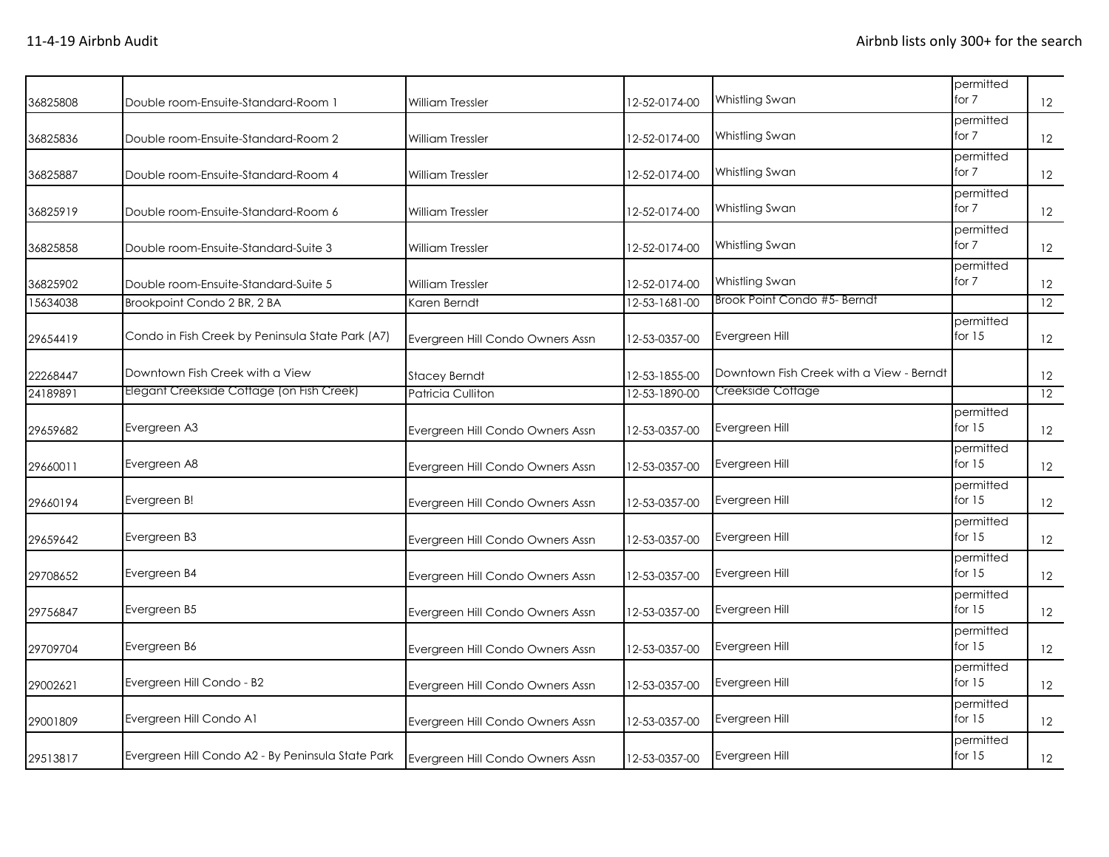| 36825808 | Double room-Ensuite-Standard-Room 1               | <b>William Tressler</b>          | 12-52-0174-00 | Whistling Swan                           | permitted<br>for 7    | 12                |
|----------|---------------------------------------------------|----------------------------------|---------------|------------------------------------------|-----------------------|-------------------|
| 36825836 | Double room-Ensuite-Standard-Room 2               | <b>William Tressler</b>          | 12-52-0174-00 | Whistling Swan                           | permitted<br>for 7    | 12                |
| 36825887 | Double room-Ensuite-Standard-Room 4               | <b>William Tressler</b>          | 12-52-0174-00 | Whistling Swan                           | permitted<br>for 7    | 12                |
| 36825919 | Double room-Ensuite-Standard-Room 6               | <b>William Tressler</b>          | 12-52-0174-00 | Whistling Swan                           | permitted<br>for 7    | 12                |
| 36825858 | Double room-Ensuite-Standard-Suite 3              | <b>William Tressler</b>          | 12-52-0174-00 | Whistling Swan                           | permitted<br>for 7    | 12                |
| 36825902 | Double room-Ensuite-Standard-Suite 5              | <b>William Tressler</b>          | 12-52-0174-00 | Whistling Swan                           | permitted<br>for 7    | 12                |
| 15634038 | Brookpoint Condo 2 BR, 2 BA                       | Karen Berndt                     | 12-53-1681-00 | Brook Point Condo #5- Berndt             |                       | 12                |
| 29654419 | Condo in Fish Creek by Peninsula State Park (A7)  | Evergreen Hill Condo Owners Assn | 12-53-0357-00 | Evergreen Hill                           | permitted<br>for $15$ | 12                |
| 22268447 | Downtown Fish Creek with a View                   | <b>Stacey Berndt</b>             | 12-53-1855-00 | Downtown Fish Creek with a View - Berndt |                       | 12                |
| 24189891 | Elegant Creekside Cottage (on Fish Creek)         | Patricia Culliton                | 12-53-1890-00 | Creekside Cottage                        |                       | 12                |
| 29659682 | Evergreen A3                                      | Evergreen Hill Condo Owners Assn | 12-53-0357-00 | Evergreen Hill                           | permitted<br>for $15$ | 12                |
| 29660011 | Evergreen A8                                      | Evergreen Hill Condo Owners Assn | 12-53-0357-00 | Evergreen Hill                           | permitted<br>for $15$ | 12                |
| 29660194 | Evergreen B!                                      | Evergreen Hill Condo Owners Assn | 12-53-0357-00 | Evergreen Hill                           | permitted<br>for $15$ | 12                |
| 29659642 | Evergreen B3                                      | Evergreen Hill Condo Owners Assn | 12-53-0357-00 | Evergreen Hill                           | permitted<br>for $15$ | 12                |
| 29708652 | Evergreen B4                                      | Evergreen Hill Condo Owners Assn | 12-53-0357-00 | Evergreen Hill                           | permitted<br>for $15$ | 12                |
| 29756847 | Evergreen B5                                      | Evergreen Hill Condo Owners Assn | 12-53-0357-00 | Evergreen Hill                           | permitted<br>for $15$ | 12                |
| 29709704 | Evergreen B6                                      | Evergreen Hill Condo Owners Assn | 12-53-0357-00 | Evergreen Hill                           | permitted<br>for $15$ | 12                |
| 29002621 | Evergreen Hill Condo - B2                         | Evergreen Hill Condo Owners Assn | 12-53-0357-00 | Evergreen Hill                           | permitted<br>for $15$ | 12                |
| 29001809 | Evergreen Hill Condo A1                           | Evergreen Hill Condo Owners Assn | 12-53-0357-00 | Evergreen Hill                           | permitted<br>for $15$ | 12                |
| 29513817 | Evergreen Hill Condo A2 - By Peninsula State Park | Evergreen Hill Condo Owners Assn | 12-53-0357-00 | Evergreen Hill                           | permitted<br>for $15$ | $12 \overline{ }$ |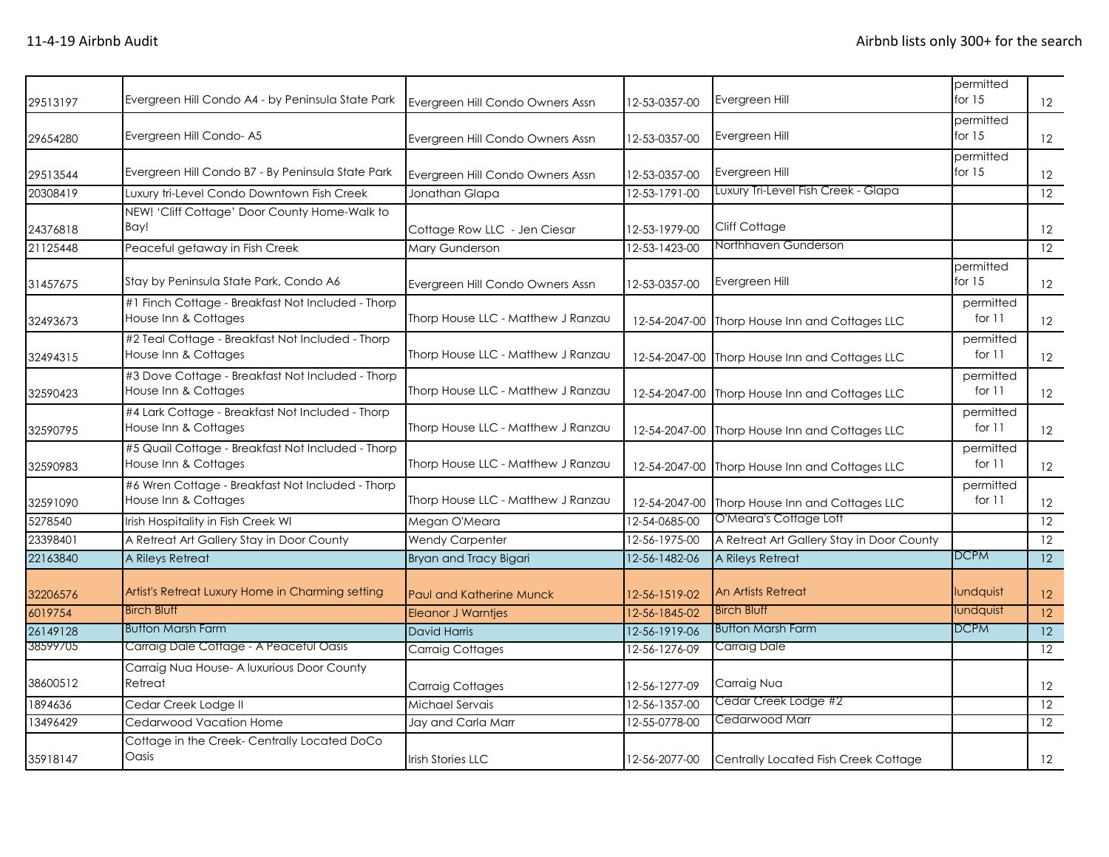| 29513197 | Evergreen Hill Condo A4 - by Peninsula State Park                         | Evergreen Hill Condo Owners Assn   | 12-53-0357-00 | Evergreen Hill                                 | permitted<br>for $15$ | $12 \overline{ }$ |
|----------|---------------------------------------------------------------------------|------------------------------------|---------------|------------------------------------------------|-----------------------|-------------------|
| 29654280 | Evergreen Hill Condo-A5                                                   | Evergreen Hill Condo Owners Assn   | 12-53-0357-00 | Evergreen Hill                                 | permitted<br>for $15$ | $12 \overline{ }$ |
| 29513544 | Evergreen Hill Condo B7 - By Peninsula State Park                         | Evergreen Hill Condo Owners Assn   | 12-53-0357-00 | Evergreen Hill                                 | permitted<br>for $15$ | 12                |
| 20308419 | Luxury tri-Level Condo Downtown Fish Creek                                | Jonathan Glapa                     | 12-53-1791-00 | Luxury Tri-Level Fish Creek - Glapa            |                       | 12                |
| 24376818 | NEW! 'Cliff Cottage' Door County Home-Walk to<br>Bay!                     | Cottage Row LLC - Jen Ciesar       | 12-53-1979-00 | Cliff Cottage                                  |                       | 12                |
| 21125448 | Peaceful getaway in Fish Creek                                            | <b>Mary Gunderson</b>              | 12-53-1423-00 | Northhaven Gunderson                           |                       | 12                |
| 31457675 | Stay by Peninsula State Park, Condo A6                                    | Evergreen Hill Condo Owners Assn   | 12-53-0357-00 | Evergreen Hill                                 | permitted<br>for $15$ | 12                |
| 32493673 | #1 Finch Cottage - Breakfast Not Included - Thorp<br>House Inn & Cottages | Thorp House LLC - Matthew J Ranzau |               | 12-54-2047-00 Thorp House Inn and Cottages LLC | permitted<br>for 11   | $12 \overline{ }$ |
| 32494315 | #2 Teal Cottage - Breakfast Not Included - Thorp<br>House Inn & Cottages  | Thorp House LLC - Matthew J Ranzau |               | 12-54-2047-00 Thorp House Inn and Cottages LLC | permitted<br>for 11   | $12 \overline{ }$ |
| 32590423 | #3 Dove Cottage - Breakfast Not Included - Thorp<br>House Inn & Cottages  | Thorp House LLC - Matthew J Ranzau |               | 12-54-2047-00 Thorp House Inn and Cottages LLC | permitted<br>for 11   | 12                |
| 32590795 | #4 Lark Cottage - Breakfast Not Included - Thorp<br>House Inn & Cottages  | Thorp House LLC - Matthew J Ranzau |               | 12-54-2047-00 Thorp House Inn and Cottages LLC | permitted<br>for $11$ | 12                |
| 32590983 | #5 Quail Cottage - Breakfast Not Included - Thorp<br>House Inn & Cottages | Thorp House LLC - Matthew J Ranzau |               | 12-54-2047-00 Thorp House Inn and Cottages LLC | permitted<br>for 11   | 12                |
| 32591090 | #6 Wren Cottage - Breakfast Not Included - Thorp<br>House Inn & Cottages  | Thorp House LLC - Matthew J Ranzau |               | 12-54-2047-00 Thorp House Inn and Cottages LLC | permitted<br>for $11$ | $12 \overline{ }$ |
| 5278540  | Irish Hospitality in Fish Creek WI                                        | Megan O'Meara                      | 12-54-0685-00 | O'Meara's Cottage Loft                         |                       | $\overline{12}$   |
| 23398401 | A Retreat Art Gallery Stay in Door County                                 | <b>Wendy Carpenter</b>             | 12-56-1975-00 | A Retreat Art Gallery Stay in Door County      |                       | 12                |
| 22163840 | A Rileys Retreat                                                          | Bryan and Tracy Bigari             | 12-56-1482-06 | A Rileys Retreat                               | <b>DCPM</b>           | 12                |
| 32206576 | Artist's Retreat Luxury Home in Charming setting                          | Paul and Katherine Munck           | 12-56-1519-02 | <b>An Artists Retreat</b>                      | lundquist             | 12                |
| 6019754  | <b>Birch Bluff</b>                                                        | <b>Eleanor J Warntjes</b>          | 12-56-1845-02 | <b>Birch Bluff</b>                             | lundquist             | $\overline{12}$   |
| 26149128 | <b>Button Marsh Farm</b>                                                  | <b>David Harris</b>                | 12-56-1919-06 | <b>Button Marsh Farm</b>                       | <b>DCPM</b>           | 12                |
| 38599705 | Carraig Dale Cottage - A Peaceful Oasis                                   | <b>Carraig Cottages</b>            | 12-56-1276-09 | Carraig Dale                                   |                       | 12                |
| 38600512 | Carraig Nua House- A luxurious Door County<br>Retreat                     | <b>Carraig Cottages</b>            | 12-56-1277-09 | Carraig Nua                                    |                       | 12                |
| 1894636  | Cedar Creek Lodge II                                                      | Michael Servais                    | 12-56-1357-00 | Cedar Creek Lodge #2                           |                       | 12                |
| 13496429 | Cedarwood Vacation Home                                                   | Jay and Carla Marr                 | 12-55-0778-00 | Cedarwood Marr                                 |                       | 12                |
| 35918147 | Cottage in the Creek- Centrally Located DoCo<br>Oasis                     | <b>Irish Stories LLC</b>           | 12-56-2077-00 | Centrally Located Fish Creek Cottage           |                       | 12                |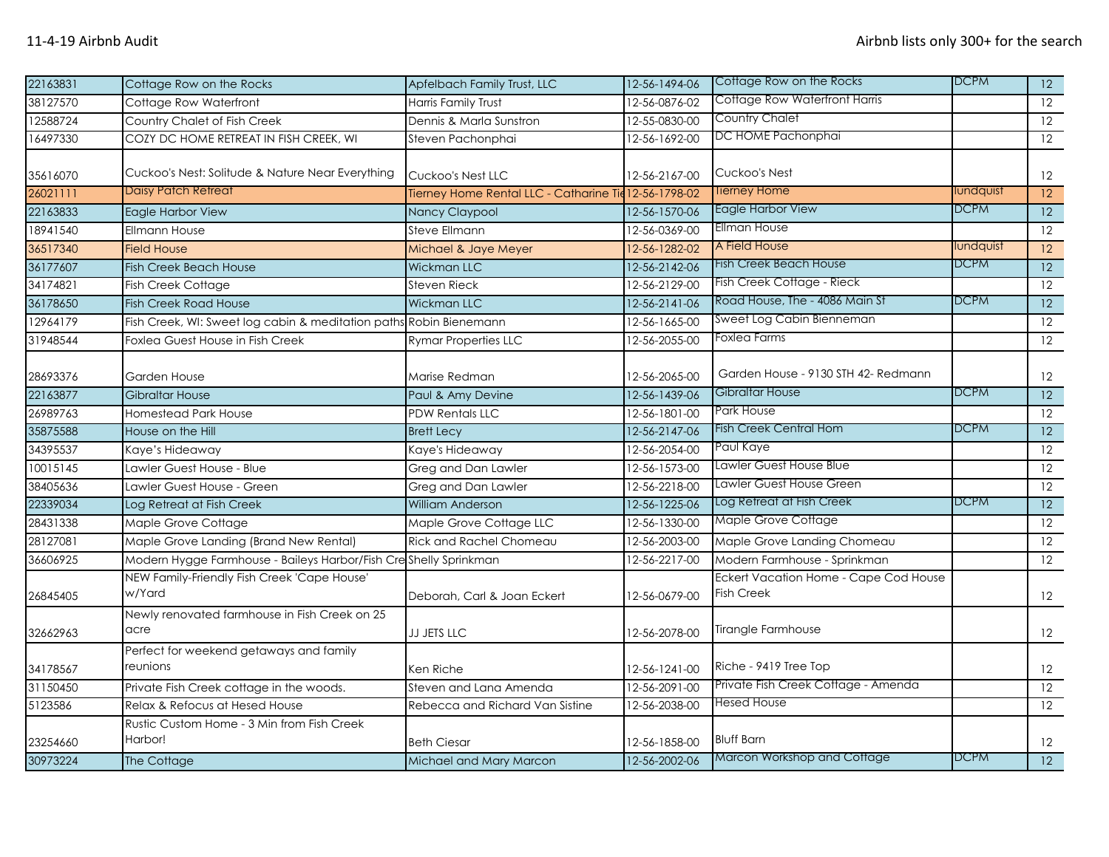| 22163831 | Cottage Row on the Rocks                                           | Apfelbach Family Trust, LLC                           | 12-56-1494-06 | Cottage Row on the Rocks                                   | <b>DCPM</b> | 12              |
|----------|--------------------------------------------------------------------|-------------------------------------------------------|---------------|------------------------------------------------------------|-------------|-----------------|
| 38127570 | Cottage Row Waterfront                                             | Harris Family Trust                                   | 12-56-0876-02 | Cottage Row Waterfront Harris                              |             | $\overline{12}$ |
| 12588724 | Country Chalet of Fish Creek                                       | Dennis & Marla Sunstron                               | 12-55-0830-00 | <b>Country Chalet</b>                                      |             | $\overline{12}$ |
| 16497330 | COZY DC HOME RETREAT IN FISH CREEK, WI                             | Steven Pachonphai                                     | 12-56-1692-00 | DC HOME Pachonphai                                         |             | 12              |
| 35616070 | Cuckoo's Nest: Solitude & Nature Near Everything                   | Cuckoo's Nest LLC                                     | 12-56-2167-00 | Cuckoo's Nest                                              |             | 12              |
| 26021111 | <b>Daisy Patch Retreat</b>                                         | Tierney Home Rental LLC - Catharine Tie 12-56-1798-02 |               | Tierney Home                                               | lundquist   | 12              |
| 22163833 | Eagle Harbor View                                                  | Nancy Claypool                                        | 12-56-1570-06 | Eagle Harbor View                                          | DCPM        | 12              |
| 18941540 | <b>Ellmann House</b>                                               | <b>Steve Ellmann</b>                                  | 12-56-0369-00 | Ellman House                                               |             | $\overline{12}$ |
| 36517340 | <b>Field House</b>                                                 | Michael & Jaye Meyer                                  | 12-56-1282-02 | A Field House                                              | lundquist   | 12              |
| 36177607 | <b>Fish Creek Beach House</b>                                      | Wickman LLC                                           | 12-56-2142-06 | Fish Creek Beach House                                     | <b>DCPM</b> | 12              |
| 34174821 | Fish Creek Cottage                                                 | <b>Steven Rieck</b>                                   | 12-56-2129-00 | Fish Creek Cottage - Rieck                                 |             | $\overline{12}$ |
| 36178650 | <b>Fish Creek Road House</b>                                       | <b>Wickman LLC</b>                                    | 12-56-2141-06 | Road House, The - 4086 Main St                             | <b>DCPM</b> | $\overline{12}$ |
| 12964179 | Fish Creek, WI: Sweet log cabin & meditation paths Robin Bienemann |                                                       | 12-56-1665-00 | Sweet Log Cabin Bienneman                                  |             | 12              |
| 31948544 | Foxlea Guest House in Fish Creek                                   | <b>Rymar Properties LLC</b>                           | 12-56-2055-00 | Foxlea Farms                                               |             | 12              |
| 28693376 | Garden House                                                       | Marise Redman                                         | 12-56-2065-00 | Garden House - 9130 STH 42- Redmann                        |             | 12              |
| 22163877 | <b>Gibraltar House</b>                                             | Paul & Amy Devine                                     | 12-56-1439-06 | Gibraltar House                                            | <b>DCPM</b> | 12              |
| 26989763 | Homestead Park House                                               | <b>PDW Rentals LLC</b>                                | 12-56-1801-00 | <b>Park House</b>                                          |             | $\overline{12}$ |
| 35875588 | House on the Hill                                                  | <b>Brett Lecy</b>                                     | 12-56-2147-06 | Fish Creek Central Hom                                     | <b>DCPM</b> | 12              |
| 34395537 | Kaye's Hideaway                                                    | Kaye's Hideaway                                       | 12-56-2054-00 | Paul Kaye                                                  |             | 12              |
| 10015145 | Lawler Guest House - Blue                                          | <b>Greg and Dan Lawler</b>                            | 12-56-1573-00 | Lawler Guest House Blue                                    |             | 12              |
| 38405636 | Lawler Guest House - Green                                         | Greg and Dan Lawler                                   | 12-56-2218-00 | Lawler Guest House Green                                   |             | $\overline{12}$ |
| 22339034 | Log Retreat at Fish Creek                                          | <b>William Anderson</b>                               | 12-56-1225-06 | Log Retreat at Fish Creek                                  | <b>DCPM</b> | 12              |
| 28431338 | Maple Grove Cottage                                                | Maple Grove Cottage LLC                               | 12-56-1330-00 | Maple Grove Cottage                                        |             | 12              |
| 28127081 | Maple Grove Landing (Brand New Rental)                             | <b>Rick and Rachel Chomeau</b>                        | 12-56-2003-00 | Maple Grove Landing Chomeau                                |             | 12              |
| 36606925 | Modern Hygge Farmhouse - Baileys Harbor/Fish Creshelly Sprinkman   |                                                       | 12-56-2217-00 | Modern Farmhouse - Sprinkman                               |             | $\overline{12}$ |
| 26845405 | NEW Family-Friendly Fish Creek 'Cape House'<br>w/Yard              | Deborah, Carl & Joan Eckert                           | 12-56-0679-00 | Eckert Vacation Home - Cape Cod House<br><b>Fish Creek</b> |             | 12              |
| 32662963 | Newly renovated farmhouse in Fish Creek on 25<br>acre              | <b>JJ JETS LLC</b>                                    | 12-56-2078-00 | <b>Tirangle Farmhouse</b>                                  |             | 12              |
| 34178567 | Perfect for weekend getaways and family<br>reunions                | Ken Riche                                             | 12-56-1241-00 | Riche - 9419 Tree Top                                      |             | 12              |
| 31150450 | Private Fish Creek cottage in the woods.                           | Steven and Lana Amenda                                | 12-56-2091-00 | Private Fish Creek Cottage - Amenda                        |             | $\overline{12}$ |
| 5123586  | Relax & Refocus at Hesed House                                     | Rebecca and Richard Van Sistine                       | 12-56-2038-00 | <b>Hesed House</b>                                         |             | 12              |
| 23254660 | Rustic Custom Home - 3 Min from Fish Creek<br>Harbor!              | <b>Beth Ciesar</b>                                    | 12-56-1858-00 | <b>Bluff Barn</b>                                          |             | 12              |
| 30973224 | The Cottage                                                        | Michael and Mary Marcon                               | 12-56-2002-06 | <b>Marcon Workshop and Cottage</b>                         | <b>DCPM</b> | 12              |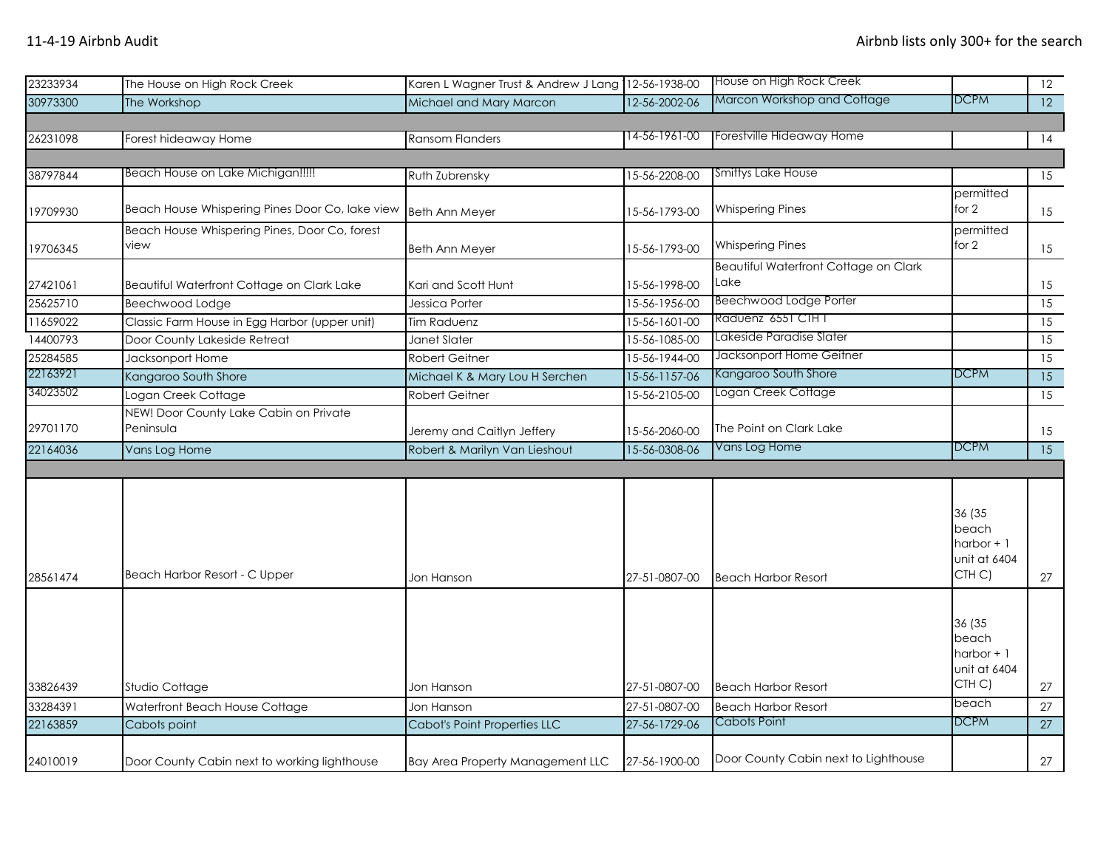| 23233934 | The House on High Rock Creek                          | Karen L Wagner Trust & Andrew J Lang 12-56-1938-00 |               | House on High Rock Creek                      |                                                                       | 12              |
|----------|-------------------------------------------------------|----------------------------------------------------|---------------|-----------------------------------------------|-----------------------------------------------------------------------|-----------------|
| 30973300 | The Workshop                                          | Michael and Mary Marcon                            | 12-56-2002-06 | Marcon Workshop and Cottage                   | DCPM                                                                  | 12              |
|          |                                                       |                                                    |               |                                               |                                                                       |                 |
| 26231098 | Forest hideaway Home                                  | <b>Ransom Flanders</b>                             | 14-56-1961-00 | Forestville Hideaway Home                     |                                                                       | 14              |
|          |                                                       |                                                    |               |                                               |                                                                       |                 |
| 38797844 | Beach House on Lake Michigan!!!!!                     | Ruth Zubrensky                                     | 15-56-2208-00 | Smittys Lake House                            |                                                                       | 15              |
| 19709930 | Beach House Whispering Pines Door Co, lake view       | <b>Beth Ann Meyer</b>                              | 15-56-1793-00 | <b>Whispering Pines</b>                       | permitted<br>for 2                                                    | 15              |
| 19706345 | Beach House Whispering Pines, Door Co, forest<br>view | <b>Beth Ann Meyer</b>                              | 15-56-1793-00 | <b>Whispering Pines</b>                       | permitted<br>for 2                                                    | 15              |
| 27421061 | Beautiful Waterfront Cottage on Clark Lake            | Kari and Scott Hunt                                | 15-56-1998-00 | Beautiful Waterfront Cottage on Clark<br>Lake |                                                                       | 15              |
| 25625710 | Beechwood Lodge                                       | Jessica Porter                                     | 15-56-1956-00 | <b>Beechwood Lodge Porter</b>                 |                                                                       | 15              |
| 11659022 | Classic Farm House in Egg Harbor (upper unit)         | Tim Raduenz                                        | 15-56-1601-00 | Raduenz 6551 CTH T                            |                                                                       | 15              |
| 14400793 | Door County Lakeside Retreat                          | Janet Slater                                       | 15-56-1085-00 | Lakeside Paradise Slater                      |                                                                       | 15              |
| 25284585 | Jacksonport Home                                      | <b>Robert Geitner</b>                              | 15-56-1944-00 | Jacksonport Home Geitner                      |                                                                       | 15              |
| 22163921 | Kangaroo South Shore                                  | Michael K & Mary Lou H Serchen                     | 15-56-1157-06 | Kangaroo South Shore                          | DCPM                                                                  | 15              |
| 34023502 | Logan Creek Cottage                                   | <b>Robert Geitner</b>                              | 15-56-2105-00 | Logan Creek Cottage                           |                                                                       | $\overline{15}$ |
| 29701170 | NEW! Door County Lake Cabin on Private<br>Peninsula   | Jeremy and Caitlyn Jeffery                         | 15-56-2060-00 | The Point on Clark Lake                       |                                                                       | 15              |
| 22164036 | Vans Log Home                                         | Robert & Marilyn Van Lieshout                      | 15-56-0308-06 | Vans Log Home                                 | <b>DCPM</b>                                                           | $\overline{15}$ |
|          |                                                       |                                                    |               |                                               |                                                                       |                 |
| 28561474 | Beach Harbor Resort - C Upper                         | Jon Hanson                                         | 27-51-0807-00 | <b>Beach Harbor Resort</b>                    | 36 (35<br>beach<br>$harbor + 1$<br>unit at 6404<br>CTH <sub>C</sub> ) | 27              |
| 33826439 | Studio Cottage                                        | Jon Hanson                                         | 27-51-0807-00 | <b>Beach Harbor Resort</b>                    | 36 (35<br>beach<br>$harbor + 1$<br>unit at 6404<br>CTH C)             | 27              |
| 33284391 | Waterfront Beach House Cottage                        | Jon Hanson                                         | 27-51-0807-00 | <b>Beach Harbor Resort</b>                    | beach                                                                 | 27              |
| 22163859 | Cabots point                                          | Cabot's Point Properties LLC                       | 27-56-1729-06 | Cabots Point                                  | <b>DCPM</b>                                                           | $\overline{27}$ |
| 24010019 | Door County Cabin next to working lighthouse          | Bay Area Property Management LLC                   | 27-56-1900-00 | Door County Cabin next to Lighthouse          |                                                                       | 27              |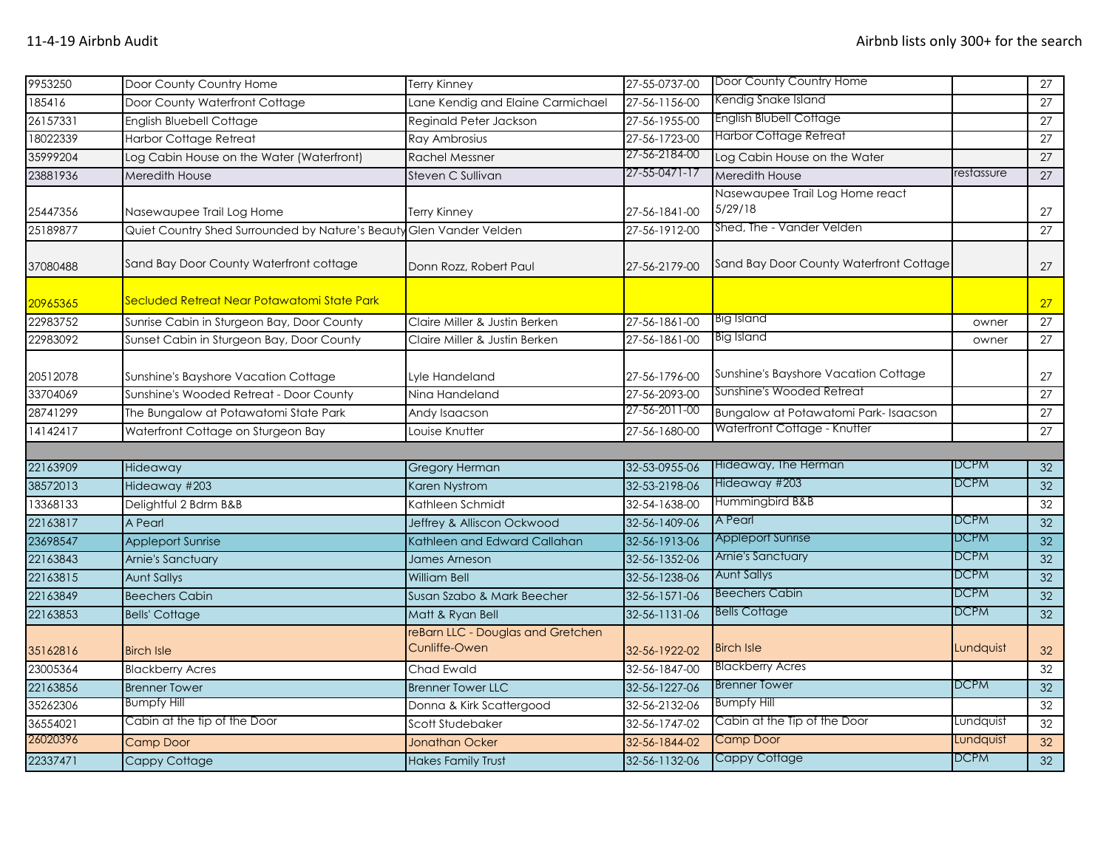| 9953250  | Door County Country Home                                            | <b>Terry Kinney</b>                                | 27-55-0737-00 | Door County Country Home                   |             | 27              |
|----------|---------------------------------------------------------------------|----------------------------------------------------|---------------|--------------------------------------------|-------------|-----------------|
| 185416   | Door County Waterfront Cottage                                      | Lane Kendig and Elaine Carmichael                  | 27-56-1156-00 | Kendig Snake Island                        |             | 27              |
| 26157331 | English Bluebell Cottage                                            | Reginald Peter Jackson                             | 27-56-1955-00 | <b>English Blubell Cottage</b>             |             | 27              |
| 18022339 | <b>Harbor Cottage Retreat</b>                                       | Ray Ambrosius                                      | 27-56-1723-00 | <b>Harbor Cottage Retreat</b>              |             | 27              |
| 35999204 | Log Cabin House on the Water (Waterfront)                           | <b>Rachel Messner</b>                              | 27-56-2184-00 | Log Cabin House on the Water               |             | 27              |
| 23881936 | Meredith House                                                      | Steven C Sullivan                                  | 27-55-0471-17 | Meredith House                             | restassure  | $\overline{27}$ |
| 25447356 | Nasewaupee Trail Log Home                                           | <b>Terry Kinney</b>                                | 27-56-1841-00 | Nasewaupee Trail Log Home react<br>5/29/18 |             | 27              |
| 25189877 | Quiet Country Shed Surrounded by Nature's Beauty Glen Vander Velden |                                                    | 27-56-1912-00 | Shed, The - Vander Velden                  |             | 27              |
| 37080488 | Sand Bay Door County Waterfront cottage                             | Donn Rozz, Robert Paul                             | 27-56-2179-00 | Sand Bay Door County Waterfront Cottage    |             | 27              |
| 20965365 | Secluded Retreat Near Potawatomi State Park                         |                                                    |               |                                            |             | 27              |
| 22983752 | Sunrise Cabin in Sturgeon Bay, Door County                          | Claire Miller & Justin Berken                      | 27-56-1861-00 | Big Island                                 | owner       | 27              |
| 22983092 | Sunset Cabin in Sturgeon Bay, Door County                           | Claire Miller & Justin Berken                      | 27-56-1861-00 | <b>Big Island</b>                          | owner       | $\overline{27}$ |
| 20512078 | Sunshine's Bayshore Vacation Cottage                                | Lyle Handeland                                     | 27-56-1796-00 | Sunshine's Bayshore Vacation Cottage       |             | 27              |
| 33704069 | Sunshine's Wooded Retreat - Door County                             | Nina Handeland                                     | 27-56-2093-00 | Sunshine's Wooded Retreat                  |             | 27              |
| 28741299 | The Bungalow at Potawatomi State Park                               | Andy Isaacson                                      | 27-56-2011-00 | Bungalow at Potawatomi Park- Isaacson      |             | 27              |
| 14142417 | Waterfront Cottage on Sturgeon Bay                                  | Louise Knutter                                     | 27-56-1680-00 | Waterfront Cottage - Knutter               |             | 27              |
|          |                                                                     |                                                    |               |                                            |             |                 |
| 22163909 | Hideaway                                                            | <b>Gregory Herman</b>                              | 32-53-0955-06 | Hideaway, The Herman                       | <b>DCPM</b> | 32              |
| 38572013 | Hideaway #203                                                       | <b>Karen Nystrom</b>                               | 32-53-2198-06 | Hideaway #203                              | <b>DCPM</b> | 32              |
| 13368133 | Delightful 2 Bdrm B&B                                               | Kathleen Schmidt                                   | 32-54-1638-00 | Hummingbird B&B                            |             | 32              |
| 22163817 | A Pearl                                                             | Jeffrey & Alliscon Ockwood                         | 32-56-1409-06 | A Pearl                                    | <b>DCPM</b> | 32              |
| 23698547 | <b>Appleport Sunrise</b>                                            | Kathleen and Edward Callahan                       | 32-56-1913-06 | <b>Appleport Sunrise</b>                   | DCPM        | 32              |
| 22163843 | Arnie's Sanctuary                                                   | <b>James Arneson</b>                               | 32-56-1352-06 | Arnie's Sanctuary                          | <b>DCPM</b> | 32              |
| 22163815 | <b>Aunt Sallys</b>                                                  | <b>William Bell</b>                                | 32-56-1238-06 | <b>Aunt Sallys</b>                         | DCPM        | 32              |
| 22163849 | <b>Beechers Cabin</b>                                               | Susan Szabo & Mark Beecher                         | 32-56-1571-06 | <b>Beechers Cabin</b>                      | DCPM        | $\overline{32}$ |
| 22163853 | <b>Bells' Cottage</b>                                               | Matt & Ryan Bell                                   | 32-56-1131-06 | <b>Bells Cottage</b>                       | <b>DCPM</b> | 32              |
| 35162816 | <b>Birch Isle</b>                                                   | reBarn LLC - Douglas and Gretchen<br>Cunliffe-Owen | 32-56-1922-02 | <b>Birch Isle</b>                          | Lundquist   | 32              |
| 23005364 | <b>Blackberry Acres</b>                                             | Chad Ewald                                         | 32-56-1847-00 | <b>Blackberry Acres</b>                    |             | 32              |
| 22163856 | <b>Brenner Tower</b>                                                | <b>Brenner Tower LLC</b>                           | 32-56-1227-06 | <b>Brenner Tower</b>                       | <b>DCPM</b> | 32              |
| 35262306 | <b>Bumpfy Hill</b>                                                  | Donna & Kirk Scattergood                           | 32-56-2132-06 | <b>Bumpfy Hill</b>                         |             | 32              |
| 36554021 | Cabin at the tip of the Door                                        | Scott Studebaker                                   | 32-56-1747-02 | Cabin at the Tip of the Door               | Lundquist   | 32              |
| 26020396 | Camp Door                                                           | <b>Jonathan Ocker</b>                              | 32-56-1844-02 | <b>Camp Door</b>                           | Lundquist   | 32              |
| 22337471 | Cappy Cottage                                                       | <b>Hakes Family Trust</b>                          | 32-56-1132-06 | <b>Cappy Cottage</b>                       | <b>DCPM</b> | 32              |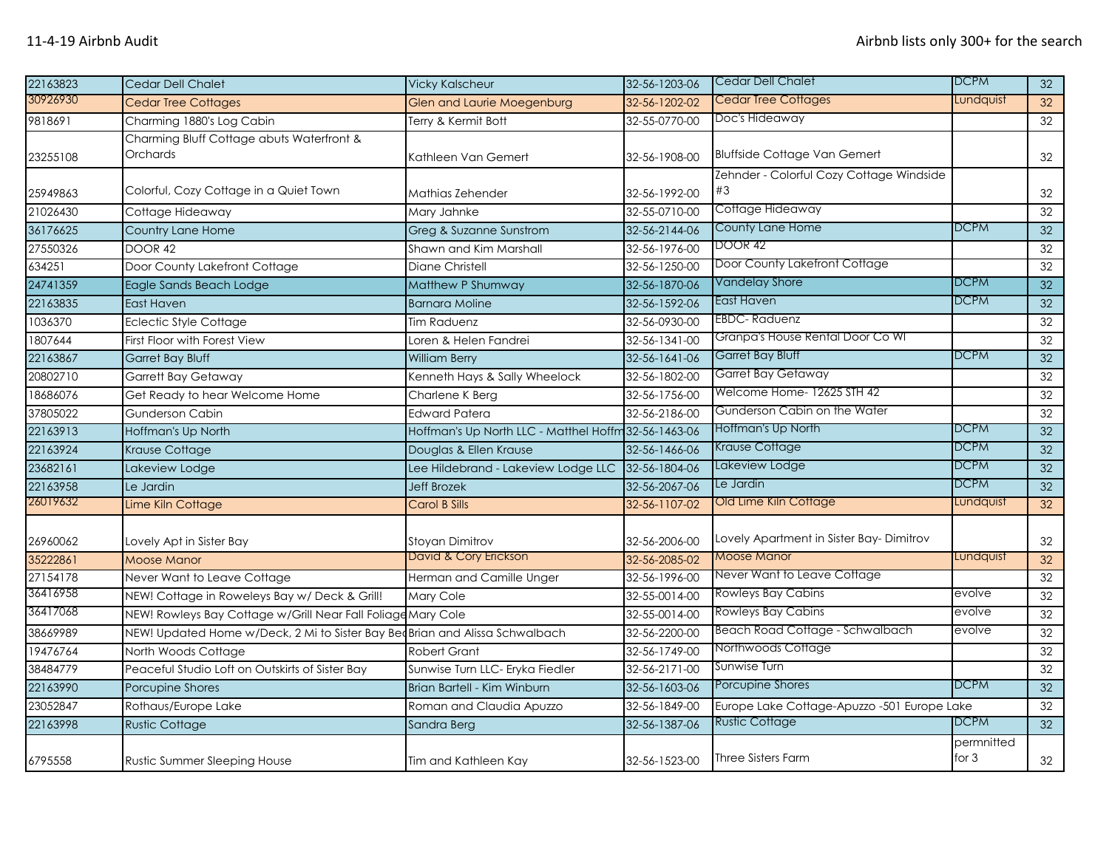| 22163823 | Cedar Dell Chalet                                                            | <b>Vicky Kalscheur</b>                               | 32-56-1203-06 | Cedar Dell Chalet                              | <b>DCPM</b>           | 32              |
|----------|------------------------------------------------------------------------------|------------------------------------------------------|---------------|------------------------------------------------|-----------------------|-----------------|
| 30926930 | <b>Cedar Tree Cottages</b>                                                   | Glen and Laurie Moegenburg                           | 32-56-1202-02 | <b>Cedar Tree Cottages</b>                     | Lundquist             | 32              |
| 9818691  | Charming 1880's Log Cabin                                                    | Terry & Kermit Bott                                  | 32-55-0770-00 | Doc's Hideaway                                 |                       | 32              |
| 23255108 | Charming Bluff Cottage abuts Waterfront &<br>Orchards                        | Kathleen Van Gemert                                  | 32-56-1908-00 | <b>Bluffside Cottage Van Gemert</b>            |                       | 32              |
| 25949863 | Colorful, Cozy Cottage in a Quiet Town                                       | Mathias Zehender                                     | 32-56-1992-00 | Zehnder - Colorful Cozy Cottage Windside<br>#3 |                       | 32              |
| 21026430 | Cottage Hideaway                                                             | Mary Jahnke                                          | 32-55-0710-00 | Cottage Hideaway                               |                       | 32              |
| 36176625 | <b>Country Lane Home</b>                                                     | Greg & Suzanne Sunstrom                              | 32-56-2144-06 | County Lane Home                               | DCPM                  | 32              |
| 27550326 | DOOR 42                                                                      | Shawn and Kim Marshall                               | 32-56-1976-00 | <b>DOOR 42</b>                                 |                       | 32              |
| 634251   | Door County Lakefront Cottage                                                | <b>Diane Christell</b>                               | 32-56-1250-00 | Door County Lakefront Cottage                  |                       | 32              |
| 24741359 | Eagle Sands Beach Lodge                                                      | Matthew P Shumway                                    | 32-56-1870-06 | Vandelay Shore                                 | <b>DCPM</b>           | 32              |
| 22163835 | <b>East Haven</b>                                                            | <b>Barnara Moline</b>                                | 32-56-1592-06 | East Haven                                     | DCPM                  | 32              |
| 1036370  | <b>Eclectic Style Cottage</b>                                                | <b>Tim Raduenz</b>                                   | 32-56-0930-00 | EBDC- Raduenz                                  |                       | 32              |
| 1807644  | First Floor with Forest View                                                 | Loren & Helen Fandrei                                | 32-56-1341-00 | Granpa's House Rental Door Co Wl               |                       | 32              |
| 22163867 | <b>Garret Bay Bluff</b>                                                      | <b>William Berry</b>                                 | 32-56-1641-06 | Garret Bay Bluff                               | DCPM                  | 32              |
| 20802710 | <b>Garrett Bay Getaway</b>                                                   | Kenneth Hays & Sally Wheelock                        | 32-56-1802-00 | Garret Bay Getaway                             |                       | 32              |
| 18686076 | Get Ready to hear Welcome Home                                               | Charlene K Berg                                      | 32-56-1756-00 | Welcome Home- 12625 STH 42                     |                       | 32              |
| 37805022 | <b>Gunderson Cabin</b>                                                       | <b>Edward Patera</b>                                 | 32-56-2186-00 | Gunderson Cabin on the Water                   |                       | 32              |
| 22163913 | Hoffman's Up North                                                           | Hoffman's Up North LLC - Matthel Hoffm 32-56-1463-06 |               | Hoffman's Up North                             | DCPM                  | 32              |
| 22163924 | Krause Cottage                                                               | Douglas & Ellen Krause                               | 32-56-1466-06 | Krause Cottage                                 | DCPM                  | 32              |
| 23682161 | Lakeview Lodge                                                               | Lee Hildebrand - Lakeview Lodge LLC                  | 32-56-1804-06 | Lakeview Lodge                                 | <b>DCPM</b>           | 32              |
| 22163958 | Le Jardin                                                                    | <b>Jeff Brozek</b>                                   | 32-56-2067-06 | Le Jardin                                      | <b>DCPM</b>           | 32              |
| 26019632 | Lime Kiln Cottage                                                            | <b>Carol B Sills</b>                                 | 32-56-1107-02 | Old Lime Kiln Cottage                          | Lundquist             | 32              |
| 26960062 | Lovely Apt in Sister Bay                                                     | <b>Stoyan Dimitrov</b>                               | 32-56-2006-00 | Lovely Apartment in Sister Bay-Dimitrov        |                       | 32              |
| 35222861 | <b>Moose Manor</b>                                                           | David & Cory Erickson                                | 32-56-2085-02 | <b>Moose Manor</b>                             | Lundquist             | 32              |
| 27154178 | Never Want to Leave Cottage                                                  | Herman and Camille Unger                             | 32-56-1996-00 | Never Want to Leave Cottage                    |                       | 32              |
| 36416958 | NEW! Cottage in Roweleys Bay w/ Deck & Grill!                                | <b>Mary Cole</b>                                     | 32-55-0014-00 | <b>Rowleys Bay Cabins</b>                      | evolve                | 32              |
| 36417068 | NEW! Rowleys Bay Cottage w/Grill Near Fall Foliage Mary Cole                 |                                                      | 32-55-0014-00 | <b>Rowleys Bay Cabins</b>                      | evolve                | 32              |
| 38669989 | NEW! Updated Home w/Deck, 2 Mi to Sister Bay Bed Brian and Alissa Schwalbach |                                                      | 32-56-2200-00 | Beach Road Cottage - Schwalbach                | evolve                | $\overline{32}$ |
| 19476764 | North Woods Cottage                                                          | <b>Robert Grant</b>                                  | 32-56-1749-00 | Northwoods Cottage                             |                       | 32              |
| 38484779 | Peaceful Studio Loft on Outskirts of Sister Bay                              | Sunwise Turn LLC- Eryka Fiedler                      | 32-56-2171-00 | Sunwise Turn                                   |                       | 32              |
| 22163990 | Porcupine Shores                                                             | Brian Bartell - Kim Winburn                          | 32-56-1603-06 | Porcupine Shores                               | <b>DCPM</b>           | 32              |
| 23052847 | Rothaus/Europe Lake                                                          | Roman and Claudia Apuzzo                             | 32-56-1849-00 | Europe Lake Cottage-Apuzzo -501 Europe Lake    |                       | 32              |
| 22163998 | <b>Rustic Cottage</b>                                                        | Sandra Berg                                          | 32-56-1387-06 | <b>Rustic Cottage</b>                          | <b>DCPM</b>           | 32              |
| 6795558  | <b>Rustic Summer Sleeping House</b>                                          | Tim and Kathleen Kay                                 | 32-56-1523-00 | <b>Three Sisters Farm</b>                      | permnitted<br>for $3$ | 32              |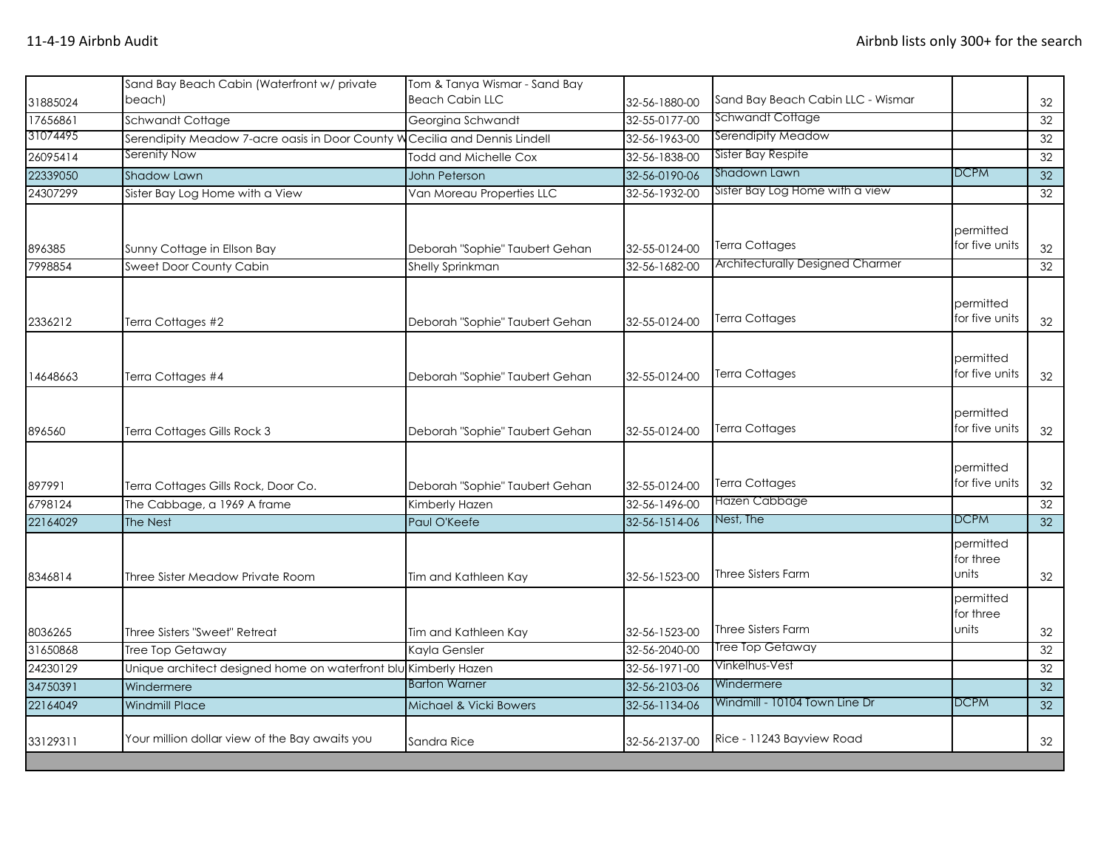| 31885024          | Sand Bay Beach Cabin (Waterfront w/ private<br>beach)           | Tom & Tanya Wismar - Sand Bay<br><b>Beach Cabin LLC</b>   | 32-56-1880-00                  | Sand Bay Beach Cabin LLC - Wismar                                |                                 | 32              |
|-------------------|-----------------------------------------------------------------|-----------------------------------------------------------|--------------------------------|------------------------------------------------------------------|---------------------------------|-----------------|
| 17656861          | Schwandt Cottage                                                | Georgina Schwandt                                         | 32-55-0177-00                  | Schwandt Cottage                                                 |                                 | 32              |
| 31074495          | Serendipity Meadow 7-acre oasis in Door County W                | Cecilia and Dennis Lindell                                | 32-56-1963-00                  | Serendipity Meadow                                               |                                 | 32              |
| 26095414          | Serenity Now                                                    | Todd and Michelle Cox                                     | 32-56-1838-00                  | Sister Bay Respite                                               |                                 | 32              |
| 22339050          | Shadow Lawn                                                     | John Peterson                                             | 32-56-0190-06                  | Shadown Lawn                                                     | <b>DCPM</b>                     | 32              |
| 24307299          | Sister Bay Log Home with a View                                 | Van Moreau Properties LLC                                 | 32-56-1932-00                  | Sister Bay Log Home with a view                                  |                                 | 32              |
| 896385<br>7998854 | Sunny Cottage in Ellson Bay<br>Sweet Door County Cabin          | Deborah "Sophie" Taubert Gehan<br><b>Shelly Sprinkman</b> | 32-55-0124-00<br>32-56-1682-00 | <b>Terra Cottages</b><br><b>Architecturally Designed Charmer</b> | permitted<br>for five units     | 32<br>32        |
|                   |                                                                 |                                                           |                                |                                                                  |                                 |                 |
| 2336212           | Terra Cottages #2                                               | Deborah "Sophie" Taubert Gehan                            | 32-55-0124-00                  | Terra Cottages                                                   | permitted<br>for five units     | 32              |
| 14648663          | Terra Cottages #4                                               | Deborah "Sophie" Taubert Gehan                            | 32-55-0124-00                  | Terra Cottages                                                   | permitted<br>for five units     | 32              |
| 896560            | Terra Cottages Gills Rock 3                                     | Deborah "Sophie" Taubert Gehan                            | 32-55-0124-00                  | Terra Cottages                                                   | permitted<br>for five units     | 32              |
| 897991            | Terra Cottages Gills Rock, Door Co.                             | Deborah "Sophie" Taubert Gehan                            | 32-55-0124-00                  | Terra Cottages                                                   | permitted<br>for five units     | 32              |
| 6798124           | The Cabbage, a 1969 A frame                                     | Kimberly Hazen                                            | 32-56-1496-00                  | Hazen Cabbage                                                    |                                 | 32              |
| 22164029          | The Nest                                                        | Paul O'Keefe                                              | 32-56-1514-06                  | Nest, The                                                        | <b>DCPM</b>                     | $\overline{32}$ |
| 8346814           | Three Sister Meadow Private Room                                | Tim and Kathleen Kay                                      | 32-56-1523-00                  | <b>Three Sisters Farm</b>                                        | permitted<br>for three<br>units | 32              |
| 8036265           | Three Sisters "Sweet" Retreat                                   | Tim and Kathleen Kay                                      | 32-56-1523-00                  | <b>Three Sisters Farm</b>                                        | permitted<br>for three<br>units | 32              |
| 31650868          | Tree Top Getaway                                                | Kayla Gensler                                             | 32-56-2040-00                  | Tree Top Getaway                                                 |                                 | 32              |
| 24230129          | Unique architect designed home on waterfront blu Kimberly Hazen |                                                           | 32-56-1971-00                  | Vinkelhus-Vest                                                   |                                 | 32              |
| 34750391          | Windermere                                                      | <b>Barton Warner</b>                                      | 32-56-2103-06                  | Windermere                                                       |                                 | 32              |
| 22164049          | <b>Windmill Place</b>                                           | Michael & Vicki Bowers                                    | 32-56-1134-06                  | Windmill - 10104 Town Line Dr                                    | <b>DCPM</b>                     | 32              |
| 33129311          | Your million dollar view of the Bay awaits you                  | Sandra Rice                                               | 32-56-2137-00                  | Rice - 11243 Bayview Road                                        |                                 | 32              |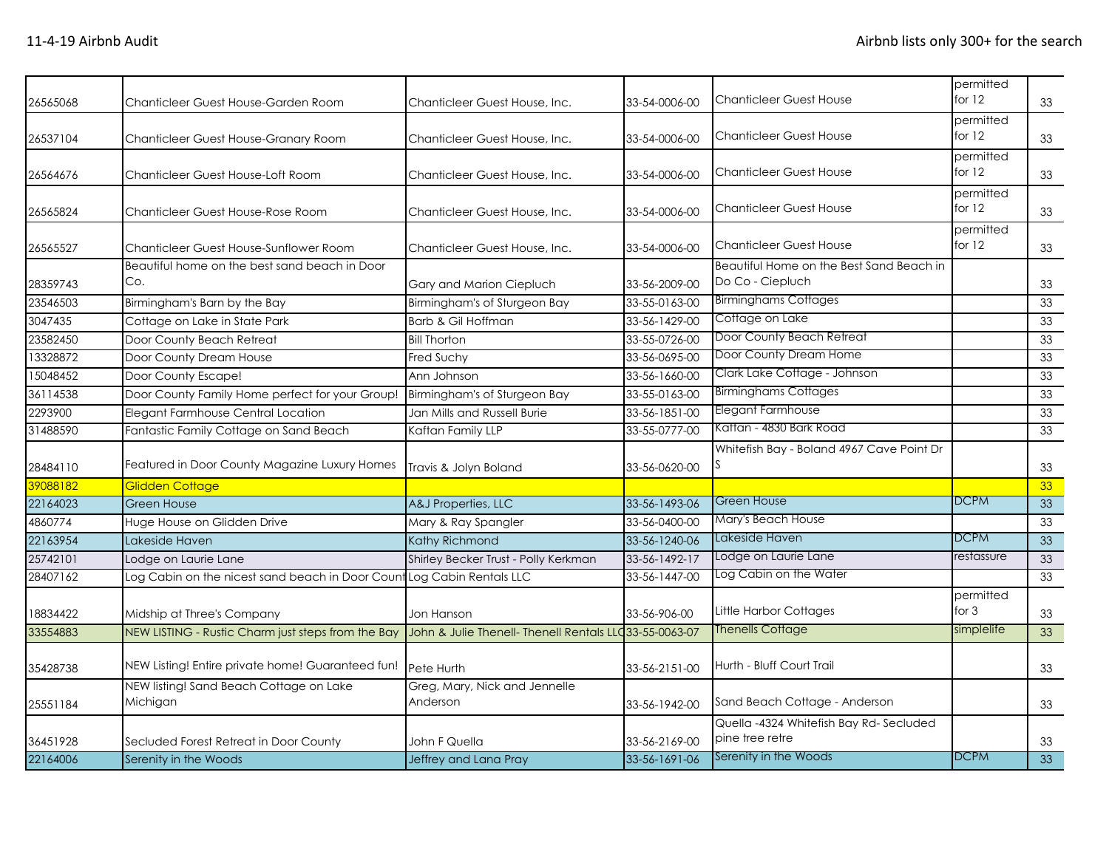| 26565068 | Chanticleer Guest House-Garden Room                                    | Chanticleer Guest House, Inc.                           | 33-54-0006-00 | <b>Chanticleer Guest House</b>                               | permitted<br>for $12$ | 33 |
|----------|------------------------------------------------------------------------|---------------------------------------------------------|---------------|--------------------------------------------------------------|-----------------------|----|
| 26537104 | Chanticleer Guest House-Granary Room                                   | Chanticleer Guest House, Inc.                           | 33-54-0006-00 | <b>Chanticleer Guest House</b>                               | permitted<br>for $12$ | 33 |
| 26564676 | Chanticleer Guest House-Loft Room                                      | Chanticleer Guest House, Inc.                           | 33-54-0006-00 | <b>Chanticleer Guest House</b>                               | permitted<br>for 12   | 33 |
| 26565824 | Chanticleer Guest House-Rose Room                                      | Chanticleer Guest House, Inc.                           | 33-54-0006-00 | <b>Chanticleer Guest House</b>                               | permitted<br>for $12$ | 33 |
| 26565527 | Chanticleer Guest House-Sunflower Room                                 | Chanticleer Guest House, Inc.                           | 33-54-0006-00 | <b>Chanticleer Guest House</b>                               | permitted<br>for $12$ | 33 |
| 28359743 | Beautiful home on the best sand beach in Door<br>Co.                   | Gary and Marion Ciepluch                                | 33-56-2009-00 | Beautiful Home on the Best Sand Beach in<br>Do Co - Ciepluch |                       | 33 |
| 23546503 | Birmingham's Barn by the Bay                                           | Birmingham's of Sturgeon Bay                            | 33-55-0163-00 | <b>Birminghams Cottages</b>                                  |                       | 33 |
| 3047435  | Cottage on Lake in State Park                                          | Barb & Gil Hoffman                                      | 33-56-1429-00 | Cottage on Lake                                              |                       | 33 |
| 23582450 | Door County Beach Retreat                                              | <b>Bill Thorton</b>                                     | 33-55-0726-00 | Door County Beach Retreat                                    |                       | 33 |
| 13328872 | Door County Dream House                                                | <b>Fred Suchy</b>                                       | 33-56-0695-00 | Door County Dream Home                                       |                       | 33 |
| 15048452 | Door County Escape!                                                    | Ann Johnson                                             | 33-56-1660-00 | Clark Lake Cottage - Johnson                                 |                       | 33 |
| 36114538 | Door County Family Home perfect for your Group!                        | Birmingham's of Sturgeon Bay                            | 33-55-0163-00 | <b>Birminghams Cottages</b>                                  |                       | 33 |
| 2293900  | Elegant Farmhouse Central Location                                     | Jan Mills and Russell Burie                             | 33-56-1851-00 | Elegant Farmhouse                                            |                       | 33 |
| 31488590 | Fantastic Family Cottage on Sand Beach                                 | Kaftan Family LLP                                       | 33-55-0777-00 | Kaftan - 4830 Bark Road                                      |                       | 33 |
| 28484110 | Featured in Door County Magazine Luxury Homes                          | Travis & Jolyn Boland                                   | 33-56-0620-00 | Whitefish Bay - Boland 4967 Cave Point Dr                    |                       | 33 |
| 39088182 | Glidden Cottage                                                        |                                                         |               |                                                              |                       | 33 |
| 22164023 | <b>Green House</b>                                                     | A&J Properties, LLC                                     | 33-56-1493-06 | <b>Green House</b>                                           | <b>DCPM</b>           | 33 |
| 4860774  | Huge House on Glidden Drive                                            | Mary & Ray Spangler                                     | 33-56-0400-00 | Mary's Beach House                                           |                       | 33 |
| 22163954 | Lakeside Haven                                                         | Kathy Richmond                                          | 33-56-1240-06 | Lakeside Haven                                               | <b>DCPM</b>           | 33 |
| 25742101 | Lodge on Laurie Lane                                                   | Shirley Becker Trust - Polly Kerkman                    | 33-56-1492-17 | Lodge on Laurie Lane                                         | restassure            | 33 |
| 28407162 | Log Cabin on the nicest sand beach in Door Count Log Cabin Rentals LLC |                                                         | 33-56-1447-00 | Log Cabin on the Water                                       |                       | 33 |
| 18834422 | Midship at Three's Company                                             | Jon Hanson                                              | 33-56-906-00  | Little Harbor Cottages                                       | permitted<br>for $3$  | 33 |
| 33554883 | NEW LISTING - Rustic Charm just steps from the Bay                     | John & Julie Thenell- Thenell Rentals LLC 33-55-0063-07 |               | <b>Thenells Cottage</b>                                      | simplelife            | 33 |
| 35428738 | NEW Listing! Entire private home! Guaranteed fun!                      | Pete Hurth                                              | 33-56-2151-00 | Hurth - Bluff Court Trail                                    |                       | 33 |
| 25551184 | NEW listing! Sand Beach Cottage on Lake<br>Michigan                    | Greg, Mary, Nick and Jennelle<br>Anderson               | 33-56-1942-00 | Sand Beach Cottage - Anderson                                |                       | 33 |
| 36451928 | Secluded Forest Retreat in Door County                                 | John F Quella                                           | 33-56-2169-00 | Quella -4324 Whitefish Bay Rd-Secluded<br>pine tree retre    |                       | 33 |
| 22164006 | Serenity in the Woods                                                  | Jeffrey and Lana Pray                                   | 33-56-1691-06 | Serenity in the Woods                                        | <b>DCPM</b>           | 33 |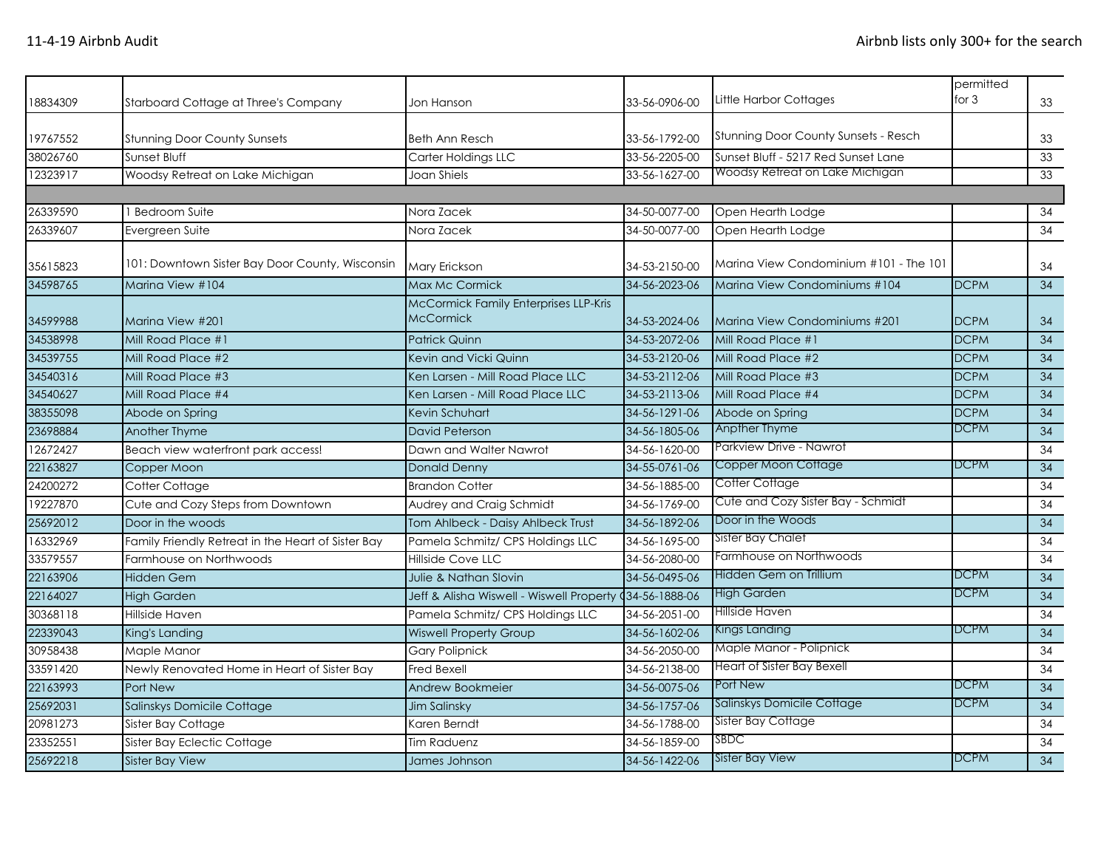| 18834309 | Starboard Cottage at Three's Company               | Jon Hanson                                                | 33-56-0906-00  | Little Harbor Cottages                      | permitted<br>for $3$ | 33              |
|----------|----------------------------------------------------|-----------------------------------------------------------|----------------|---------------------------------------------|----------------------|-----------------|
| 19767552 | <b>Stunning Door County Sunsets</b>                | <b>Beth Ann Resch</b>                                     | 33-56-1792-00  | <b>Stunning Door County Sunsets - Resch</b> |                      | 33              |
| 38026760 | Sunset Bluff                                       | Carter Holdings LLC                                       | 33-56-2205-00  | Sunset Bluff - 5217 Red Sunset Lane         |                      | 33              |
| 12323917 | Woodsy Retreat on Lake Michigan                    | Joan Shiels                                               | 33-56-1627-00  | Woodsy Retreat on Lake Michigan             |                      | 33              |
|          |                                                    |                                                           |                |                                             |                      |                 |
| 26339590 | <b>Bedroom Suite</b>                               | Nora Zacek                                                | 34-50-0077-00  | Open Hearth Lodge                           |                      | 34              |
| 26339607 | Evergreen Suite                                    | Nora Zacek                                                | 34-50-0077-00  | Open Hearth Lodge                           |                      | 34              |
| 35615823 | 101: Downtown Sister Bay Door County, Wisconsin    | Mary Erickson                                             | 34-53-2150-00  | Marina View Condominium #101 - The 101      |                      | 34              |
| 34598765 | Marina View #104                                   | Max Mc Cormick                                            | 34-56-2023-06  | Marina View Condominiums #104               | <b>DCPM</b>          | 34              |
| 34599988 | Marina View #201                                   | McCormick Family Enterprises LLP-Kris<br><b>McCormick</b> | 34-53-2024-06  | Marina View Condominiums #201               | <b>DCPM</b>          | 34              |
| 34538998 | Mill Road Place #1                                 | <b>Patrick Quinn</b>                                      | 34-53-2072-06  | Mill Road Place #1                          | <b>DCPM</b>          | 34              |
| 34539755 | Mill Road Place #2                                 | Kevin and Vicki Quinn                                     | 34-53-2120-06  | Mill Road Place #2                          | <b>DCPM</b>          | 34              |
| 34540316 | Mill Road Place #3                                 | Ken Larsen - Mill Road Place LLC                          | 34-53-2112-06  | Mill Road Place #3                          | <b>DCPM</b>          | 34              |
| 34540627 | Mill Road Place #4                                 | Ken Larsen - Mill Road Place LLC                          | 34-53-2113-06  | Mill Road Place #4                          | <b>DCPM</b>          | 34              |
| 38355098 | Abode on Spring                                    | Kevin Schuhart                                            | 34-56-1291-06  | Abode on Spring                             | <b>DCPM</b>          | 34              |
| 23698884 | <b>Another Thyme</b>                               | <b>David Peterson</b>                                     | 34-56-1805-06  | Anpther Thyme                               | <b>DCPM</b>          | 34              |
| 12672427 | Beach view waterfront park access!                 | Dawn and Walter Nawrot                                    | 34-56-1620-00  | Parkview Drive - Nawrot                     |                      | 34              |
| 22163827 | Copper Moon                                        | <b>Donald Denny</b>                                       | 34-55-0761-06  | Copper Moon Cottage                         | <b>DCPM</b>          | 34              |
| 24200272 | Cotter Cottage                                     | <b>Brandon Cotter</b>                                     | 34-56-1885-00  | Cotter Cottage                              |                      | 34              |
| 19227870 | Cute and Cozy Steps from Downtown                  | Audrey and Craig Schmidt                                  | 34-56-1769-00  | Cute and Cozy Sister Bay - Schmidt          |                      | 34              |
| 25692012 | Door in the woods                                  | Tom Ahlbeck - Daisy Ahlbeck Trust                         | 34-56-1892-06  | Door in the Woods                           |                      | 34              |
| 16332969 | Family Friendly Retreat in the Heart of Sister Bay | Pamela Schmitz/ CPS Holdings LLC                          | 34-56-1695-00  | Sister Bay Chalet                           |                      | 34              |
| 33579557 | Farmhouse on Northwoods                            | <b>Hillside Cove LLC</b>                                  | 34-56-2080-00  | Farmhouse on Northwoods                     |                      | 34              |
| 22163906 | <b>Hidden Gem</b>                                  | Julie & Nathan Slovin                                     | 34-56-0495-06  | Hidden Gem on Trillium                      | <b>DCPM</b>          | $\overline{34}$ |
| 22164027 | <b>High Garden</b>                                 | Jeff & Alisha Wiswell - Wiswell Property                  | 434-56-1888-06 | High Garden                                 | <b>DCPM</b>          | 34              |
| 30368118 | Hillside Haven                                     | Pamela Schmitz/ CPS Holdings LLC                          | 34-56-2051-00  | Hillside Haven                              |                      | 34              |
| 22339043 | King's Landing                                     | <b>Wiswell Property Group</b>                             | 34-56-1602-06  | Kings Landing                               | <b>DCPM</b>          | 34              |
| 30958438 | Maple Manor                                        | <b>Gary Polipnick</b>                                     | 34-56-2050-00  | Maple Manor - Polipnick                     |                      | 34              |
| 33591420 | Newly Renovated Home in Heart of Sister Bay        | <b>Fred Bexell</b>                                        | 34-56-2138-00  | Heart of Sister Bay Bexell                  |                      | 34              |
| 22163993 | Port New                                           | Andrew Bookmeier                                          | 34-56-0075-06  | Port New                                    | <b>DCPM</b>          | 34              |
| 25692031 | Salinskys Domicile Cottage                         | <b>Jim Salinsky</b>                                       | 34-56-1757-06  | Salinskys Domicile Cottage                  | <b>DCPM</b>          | 34              |
| 20981273 | Sister Bay Cottage                                 | Karen Berndt                                              | 34-56-1788-00  | <b>Sister Bay Cottage</b>                   |                      | 34              |
| 23352551 | Sister Bay Eclectic Cottage                        | Tim Raduenz                                               | 34-56-1859-00  | SBDC                                        |                      | 34              |
| 25692218 | <b>Sister Bay View</b>                             | James Johnson                                             | 34-56-1422-06  | <b>Sister Bay View</b>                      | <b>DCPM</b>          | 34              |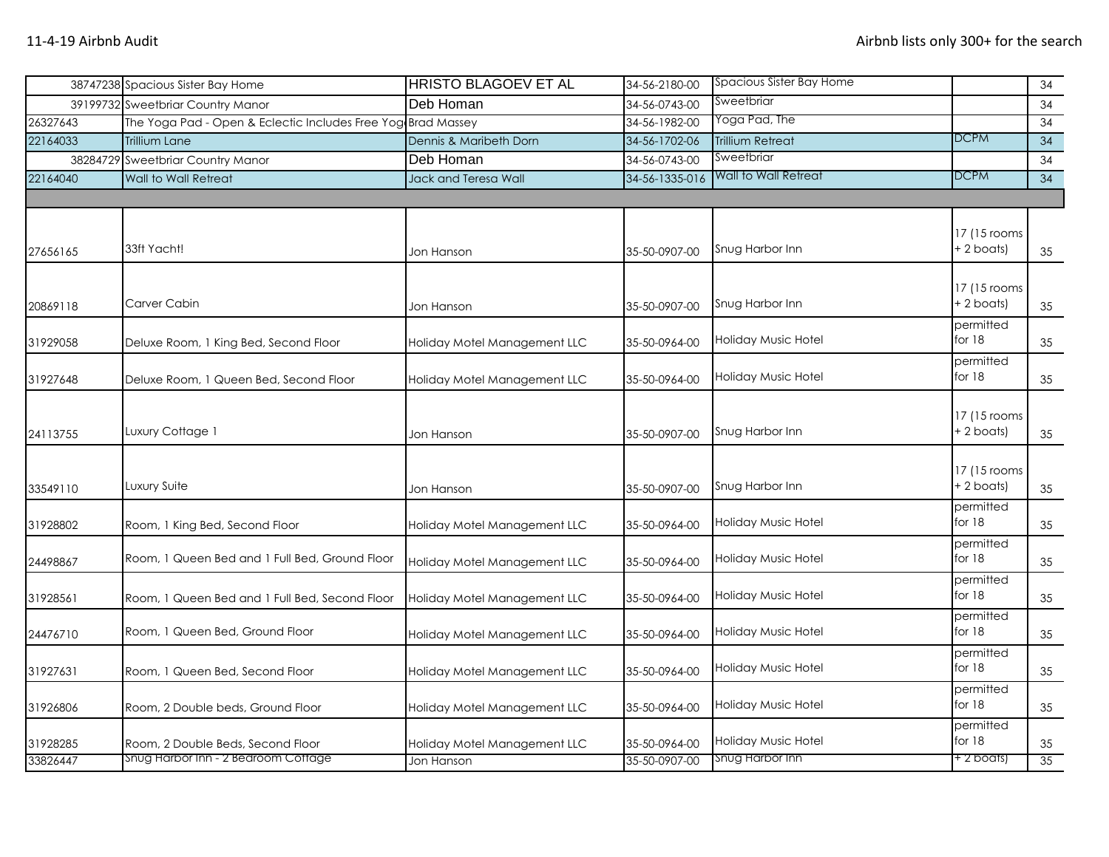|          | 38747238 Spacious Sister Bay Home                            | <b>HRISTO BLAGOEV ET AL</b>  | 34-56-2180-00  | Spacious Sister Bay Home |                            | 34 |
|----------|--------------------------------------------------------------|------------------------------|----------------|--------------------------|----------------------------|----|
|          | 39199732 Sweetbriar Country Manor                            | Deb Homan                    | 34-56-0743-00  | Sweetbriar               |                            | 34 |
| 26327643 | The Yoga Pad - Open & Eclectic Includes Free Yog Brad Massey |                              | 34-56-1982-00  | Yoga Pad, The            |                            | 34 |
| 22164033 | Trillium Lane                                                | Dennis & Maribeth Dorn       | 34-56-1702-06  | <b>Trillium Retreat</b>  | DCPM                       | 34 |
|          | 38284729 Sweetbriar Country Manor                            | Deb Homan                    | 34-56-0743-00  | Sweetbriar               |                            | 34 |
| 22164040 | Wall to Wall Retreat                                         | Jack and Teresa Wall         | 34-56-1335-016 | Wall to Wall Retreat     | <b>DCPM</b>                | 34 |
|          |                                                              |                              |                |                          |                            |    |
| 27656165 | 33ft Yacht!                                                  | Jon Hanson                   | 35-50-0907-00  | Snug Harbor Inn          | 17 (15 rooms<br>+ 2 boats) | 35 |
| 20869118 | Carver Cabin                                                 | Jon Hanson                   | 35-50-0907-00  | Snug Harbor Inn          | 17 (15 rooms<br>+ 2 boats) | 35 |
| 31929058 | Deluxe Room, 1 King Bed, Second Floor                        | Holiday Motel Management LLC | 35-50-0964-00  | Holiday Music Hotel      | permitted<br>for 18        | 35 |
| 31927648 | Deluxe Room, 1 Queen Bed, Second Floor                       | Holiday Motel Management LLC | 35-50-0964-00  | Holiday Music Hotel      | permitted<br>for $18$      | 35 |
| 24113755 | Luxury Cottage 1                                             | Jon Hanson                   | 35-50-0907-00  | Snug Harbor Inn          | 17 (15 rooms<br>+ 2 boats) | 35 |
| 33549110 | Luxury Suite                                                 | Jon Hanson                   | 35-50-0907-00  | Snug Harbor Inn          | 17 (15 rooms<br>+ 2 boats) | 35 |
| 31928802 | Room, 1 King Bed, Second Floor                               | Holiday Motel Management LLC | 35-50-0964-00  | Holiday Music Hotel      | permitted<br>for 18        | 35 |
| 24498867 | Room, 1 Queen Bed and 1 Full Bed, Ground Floor               | Holiday Motel Management LLC | 35-50-0964-00  | Holiday Music Hotel      | permitted<br>for 18        | 35 |
| 31928561 | Room, 1 Queen Bed and 1 Full Bed, Second Floor               | Holiday Motel Management LLC | 35-50-0964-00  | Holiday Music Hotel      | permitted<br>for 18        | 35 |
| 24476710 | Room, 1 Queen Bed, Ground Floor                              | Holiday Motel Management LLC | 35-50-0964-00  | Holiday Music Hotel      | permitted<br>for 18        | 35 |
| 31927631 | Room, 1 Queen Bed, Second Floor                              | Holiday Motel Management LLC | 35-50-0964-00  | Holiday Music Hotel      | permitted<br>for $18$      | 35 |
| 31926806 | Room, 2 Double beds, Ground Floor                            | Holiday Motel Management LLC | 35-50-0964-00  | Holiday Music Hotel      | permitted<br>for $18$      | 35 |
| 31928285 | Room, 2 Double Beds, Second Floor                            | Holiday Motel Management LLC | 35-50-0964-00  | Holiday Music Hotel      | permitted<br>for 18        | 35 |
| 33826447 | Snug Harbor Inn - 2 Bedroom Cottage                          | Jon Hanson                   | 35-50-0907-00  | Snug Harbor Inn          | + 2 boats)                 | 35 |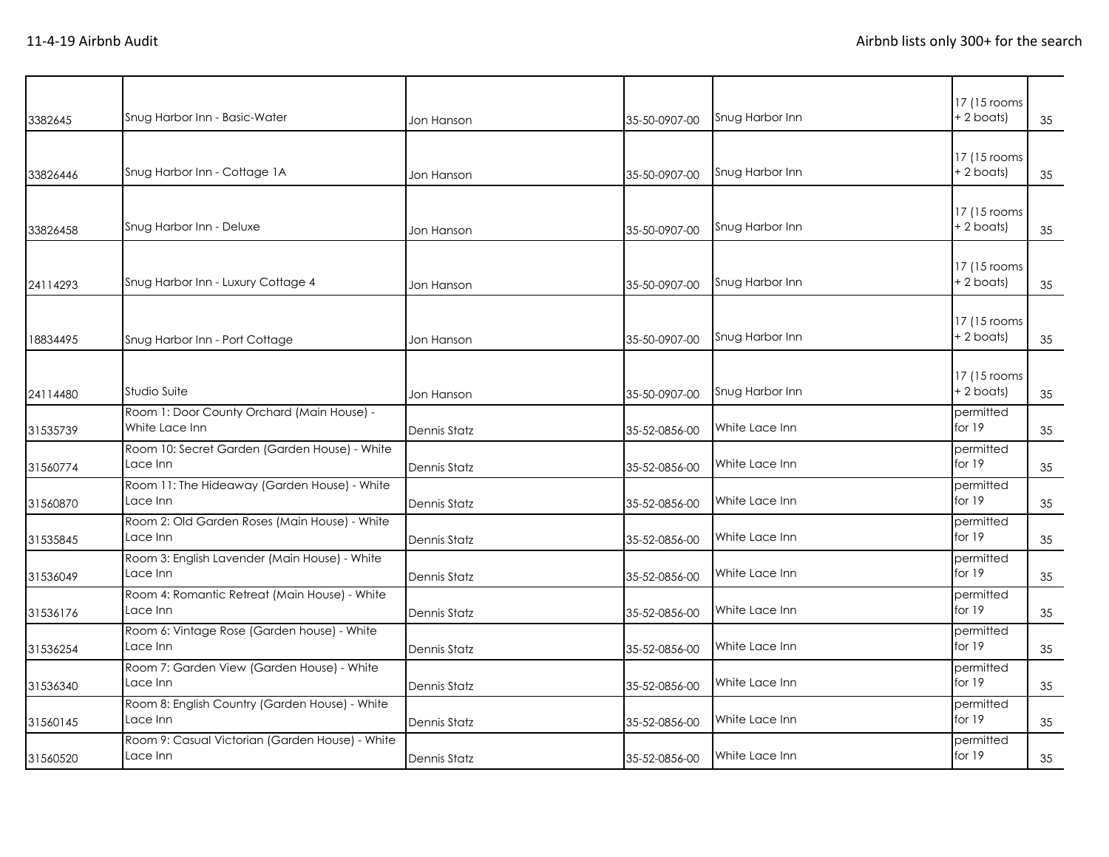| 3382645  | Snug Harbor Inn - Basic-Water                                | Jon Hanson          | 35-50-0907-00 | Snug Harbor Inn | 17 (15 rooms)<br>+ 2 boats)   | 35 |
|----------|--------------------------------------------------------------|---------------------|---------------|-----------------|-------------------------------|----|
| 33826446 | Snug Harbor Inn - Cottage 1A                                 | Jon Hanson          | 35-50-0907-00 | Snug Harbor Inn | 17 (15 rooms)<br>$+ 2$ boats) | 35 |
| 33826458 | Snug Harbor Inn - Deluxe                                     | Jon Hanson          | 35-50-0907-00 | Snug Harbor Inn | 17 (15 rooms<br>+ 2 boats)    | 35 |
| 24114293 | Snug Harbor Inn - Luxury Cottage 4                           | Jon Hanson          | 35-50-0907-00 | Snug Harbor Inn | 17 (15 rooms<br>+ 2 boats)    | 35 |
| 18834495 | Snug Harbor Inn - Port Cottage                               | Jon Hanson          | 35-50-0907-00 | Snug Harbor Inn | 17 (15 rooms<br>+2 boats)     | 35 |
| 24114480 | Studio Suite                                                 | Jon Hanson          | 35-50-0907-00 | Snug Harbor Inn | 17 (15 rooms<br>+ 2 boats)    | 35 |
| 31535739 | Room 1: Door County Orchard (Main House) -<br>White Lace Inn | Dennis Statz        | 35-52-0856-00 | White Lace Inn  | permitted<br>for 19           | 35 |
| 31560774 | Room 10: Secret Garden (Garden House) - White<br>Lace Inn    | Dennis Statz        | 35-52-0856-00 | White Lace Inn  | permitted<br>for 19           | 35 |
| 31560870 | Room 11: The Hideaway (Garden House) - White<br>Lace Inn     | <b>Dennis Statz</b> | 35-52-0856-00 | White Lace Inn  | permitted<br>for $19$         | 35 |
| 31535845 | Room 2: Old Garden Roses (Main House) - White<br>Lace Inn    | Dennis Statz        | 35-52-0856-00 | White Lace Inn  | permitted<br>for 19           | 35 |
| 31536049 | Room 3: English Lavender (Main House) - White<br>Lace Inn    | Dennis Statz        | 35-52-0856-00 | White Lace Inn  | permitted<br>for $19$         | 35 |
| 31536176 | Room 4: Romantic Retreat (Main House) - White<br>Lace Inn    | Dennis Statz        | 35-52-0856-00 | White Lace Inn  | permitted<br>for $19$         | 35 |
| 31536254 | Room 6: Vintage Rose (Garden house) - White<br>Lace Inn      | Dennis Statz        | 35-52-0856-00 | White Lace Inn  | permitted<br>for $19$         | 35 |
| 31536340 | Room 7: Garden View (Garden House) - White<br>Lace Inn       | Dennis Statz        | 35-52-0856-00 | White Lace Inn  | permitted<br>for $19$         | 35 |
| 31560145 | Room 8: English Country (Garden House) - White<br>Lace Inn   | Dennis Statz        | 35-52-0856-00 | White Lace Inn  | permitted<br>for 19           | 35 |
| 31560520 | Room 9: Casual Victorian (Garden House) - White<br>Lace Inn  | Dennis Statz        | 35-52-0856-00 | White Lace Inn  | permitted<br>for 19           | 35 |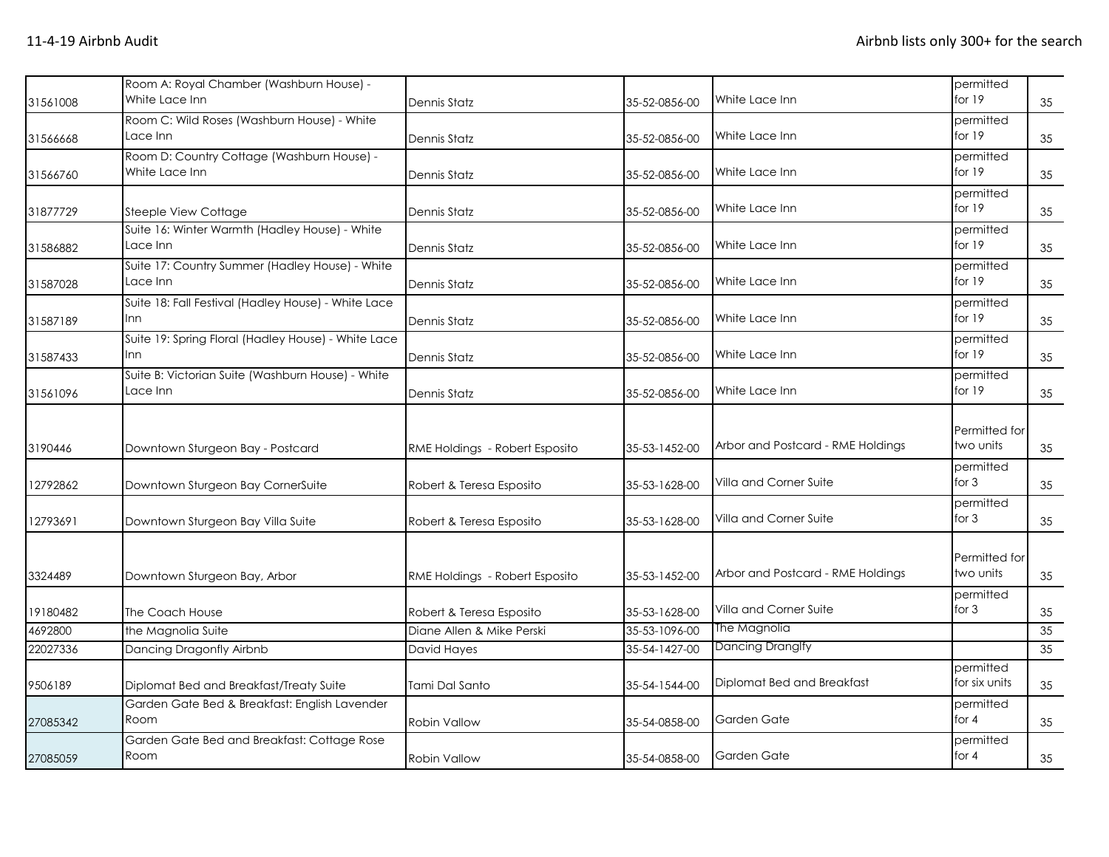| 31561008 | Room A: Royal Chamber (Washburn House) -<br>White Lace Inn        | Dennis Statz                   | 35-52-0856-00 | White Lace Inn                    | permitted<br>for $19$      | 35 |
|----------|-------------------------------------------------------------------|--------------------------------|---------------|-----------------------------------|----------------------------|----|
| 31566668 | Room C: Wild Roses (Washburn House) - White<br>Lace Inn           | Dennis Statz                   | 35-52-0856-00 | White Lace Inn                    | permitted<br>for $19$      | 35 |
| 31566760 | Room D: Country Cottage (Washburn House) -<br>White Lace Inn      | Dennis Statz                   | 35-52-0856-00 | White Lace Inn                    | permitted<br>for $19$      | 35 |
| 31877729 | Steeple View Cottage                                              | Dennis Statz                   | 35-52-0856-00 | White Lace Inn                    | permitted<br>for $19$      | 35 |
| 31586882 | Suite 16: Winter Warmth (Hadley House) - White<br>Lace Inn        | Dennis Statz                   | 35-52-0856-00 | White Lace Inn                    | permitted<br>for $19$      | 35 |
| 31587028 | Suite 17: Country Summer (Hadley House) - White<br>Lace Inn       | <b>Dennis Statz</b>            | 35-52-0856-00 | White Lace Inn                    | permitted<br>for $19$      | 35 |
| 31587189 | Suite 18: Fall Festival (Hadley House) - White Lace<br>Inn        | Dennis Statz                   | 35-52-0856-00 | White Lace Inn                    | permitted<br>for 19        | 35 |
| 31587433 | Suite 19: Spring Floral (Hadley House) - White Lace<br><b>Inn</b> | Dennis Statz                   | 35-52-0856-00 | White Lace Inn                    | permitted<br>for $19$      | 35 |
| 31561096 | Suite B: Victorian Suite (Washburn House) - White<br>Lace Inn     | Dennis Statz                   | 35-52-0856-00 | White Lace Inn                    | permitted<br>for $19$      | 35 |
| 3190446  | Downtown Sturgeon Bay - Postcard                                  | RME Holdings - Robert Esposito | 35-53-1452-00 | Arbor and Postcard - RME Holdings | Permitted for<br>two units | 35 |
| 12792862 | Downtown Sturgeon Bay CornerSuite                                 | Robert & Teresa Esposito       | 35-53-1628-00 | Villa and Corner Suite            | permitted<br>for $3$       | 35 |
| 12793691 | Downtown Sturgeon Bay Villa Suite                                 | Robert & Teresa Esposito       | 35-53-1628-00 | Villa and Corner Suite            | permitted<br>for $3$       | 35 |
| 3324489  | Downtown Sturgeon Bay, Arbor                                      | RME Holdings - Robert Esposito | 35-53-1452-00 | Arbor and Postcard - RME Holdings | Permitted for<br>two units | 35 |
| 19180482 | The Coach House                                                   | Robert & Teresa Esposito       | 35-53-1628-00 | Villa and Corner Suite            | permitted<br>for $3$       | 35 |
| 4692800  | the Magnolia Suite                                                | Diane Allen & Mike Perski      | 35-53-1096-00 | The Magnolia                      |                            | 35 |
| 22027336 | Dancing Dragonfly Airbnb                                          | David Hayes                    | 35-54-1427-00 | Dancing Dranglfy                  |                            | 35 |
| 9506189  | Diplomat Bed and Breakfast/Treaty Suite                           | Tami Dal Santo                 | 35-54-1544-00 | Diplomat Bed and Breakfast        | permitted<br>for six units | 35 |
| 27085342 | Garden Gate Bed & Breakfast: English Lavender<br>Room             | <b>Robin Vallow</b>            | 35-54-0858-00 | Garden Gate                       | permitted<br>for $4$       | 35 |
| 27085059 | Garden Gate Bed and Breakfast: Cottage Rose<br>Room               | <b>Robin Vallow</b>            | 35-54-0858-00 | Garden Gate                       | permitted<br>for $4$       | 35 |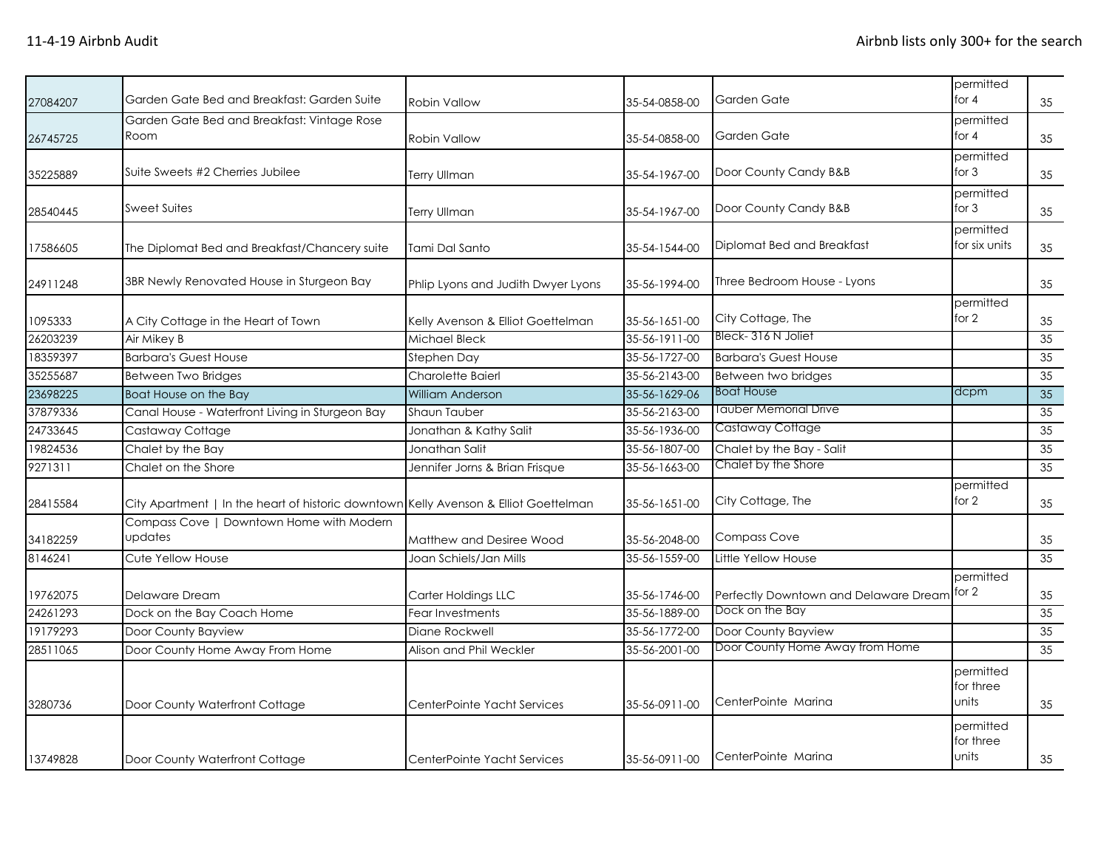| 27084207 | Garden Gate Bed and Breakfast: Garden Suite                                          | <b>Robin Vallow</b>                | 35-54-0858-00 | Garden Gate                           | permitted<br>for $4$            | 35 |
|----------|--------------------------------------------------------------------------------------|------------------------------------|---------------|---------------------------------------|---------------------------------|----|
| 26745725 | Garden Gate Bed and Breakfast: Vintage Rose<br>Room                                  | <b>Robin Vallow</b>                | 35-54-0858-00 | Garden Gate                           | permitted<br>for $4$            | 35 |
| 35225889 | Suite Sweets #2 Cherries Jubilee                                                     | <b>Terry Ullman</b>                | 35-54-1967-00 | Door County Candy B&B                 | permitted<br>for $3$            | 35 |
| 28540445 | <b>Sweet Suites</b>                                                                  | Terry Ullman                       | 35-54-1967-00 | Door County Candy B&B                 | permitted<br>for $3$            | 35 |
| 17586605 | The Diplomat Bed and Breakfast/Chancery suite                                        | Tami Dal Santo                     | 35-54-1544-00 | Diplomat Bed and Breakfast            | permitted<br>for six units      | 35 |
| 24911248 | 3BR Newly Renovated House in Sturgeon Bay                                            | Phlip Lyons and Judith Dwyer Lyons | 35-56-1994-00 | Three Bedroom House - Lyons           |                                 | 35 |
| 1095333  | A City Cottage in the Heart of Town                                                  | Kelly Avenson & Elliot Goettelman  | 35-56-1651-00 | City Cottage, The                     | permitted<br>for 2              | 35 |
| 26203239 | Air Mikey B                                                                          | <b>Michael Bleck</b>               | 35-56-1911-00 | Bleck-316 N Joliet                    |                                 | 35 |
| 18359397 | <b>Barbara's Guest House</b>                                                         | Stephen Day                        | 35-56-1727-00 | <b>Barbara's Guest House</b>          |                                 | 35 |
| 35255687 | <b>Between Two Bridges</b>                                                           | Charolette Baierl                  | 35-56-2143-00 | Between two bridges                   |                                 | 35 |
| 23698225 | Boat House on the Bay                                                                | <b>William Anderson</b>            | 35-56-1629-06 | <b>Boat House</b>                     | dcpm                            | 35 |
| 37879336 | Canal House - Waterfront Living in Sturgeon Bay                                      | Shaun Tauber                       | 35-56-2163-00 | Tauber Memorial Drive                 |                                 | 35 |
| 24733645 | Castaway Cottage                                                                     | Jonathan & Kathy Salit             | 35-56-1936-00 | Castaway Cottage                      |                                 | 35 |
| 19824536 | Chalet by the Bay                                                                    | Jonathan Salit                     | 35-56-1807-00 | Chalet by the Bay - Salit             |                                 | 35 |
| 9271311  | Chalet on the Shore                                                                  | Jennifer Jorns & Brian Frisque     | 35-56-1663-00 | Chalet by the Shore                   |                                 | 35 |
| 28415584 | City Apartment   In the heart of historic downtown Kelly Avenson & Elliot Goettelman |                                    | 35-56-1651-00 | City Cottage, The                     | permitted<br>for 2              | 35 |
| 34182259 | Compass Cove   Downtown Home with Modern<br>updates                                  | Matthew and Desiree Wood           | 35-56-2048-00 | <b>Compass Cove</b>                   |                                 | 35 |
| 8146241  | Cute Yellow House                                                                    | Joan Schiels/Jan Mills             | 35-56-1559-00 | Little Yellow House                   |                                 | 35 |
| 19762075 | Delaware Dream                                                                       | Carter Holdings LLC                | 35-56-1746-00 | Perfectly Downtown and Delaware Dream | permitted<br>for 2              | 35 |
| 24261293 | Dock on the Bay Coach Home                                                           | Fear Investments                   | 35-56-1889-00 | Dock on the Bay                       |                                 | 35 |
| 19179293 | Door County Bayview                                                                  | Diane Rockwell                     | 35-56-1772-00 | Door County Bayview                   |                                 | 35 |
| 28511065 | Door County Home Away From Home                                                      | Alison and Phil Weckler            | 35-56-2001-00 | Door County Home Away from Home       |                                 | 35 |
| 3280736  | Door County Waterfront Cottage                                                       | CenterPointe Yacht Services        | 35-56-0911-00 | CenterPointe Marina                   | permitted<br>for three<br>units | 35 |
| 13749828 | Door County Waterfront Cottage                                                       | CenterPointe Yacht Services        | 35-56-0911-00 | CenterPointe Marina                   | permitted<br>for three<br>units | 35 |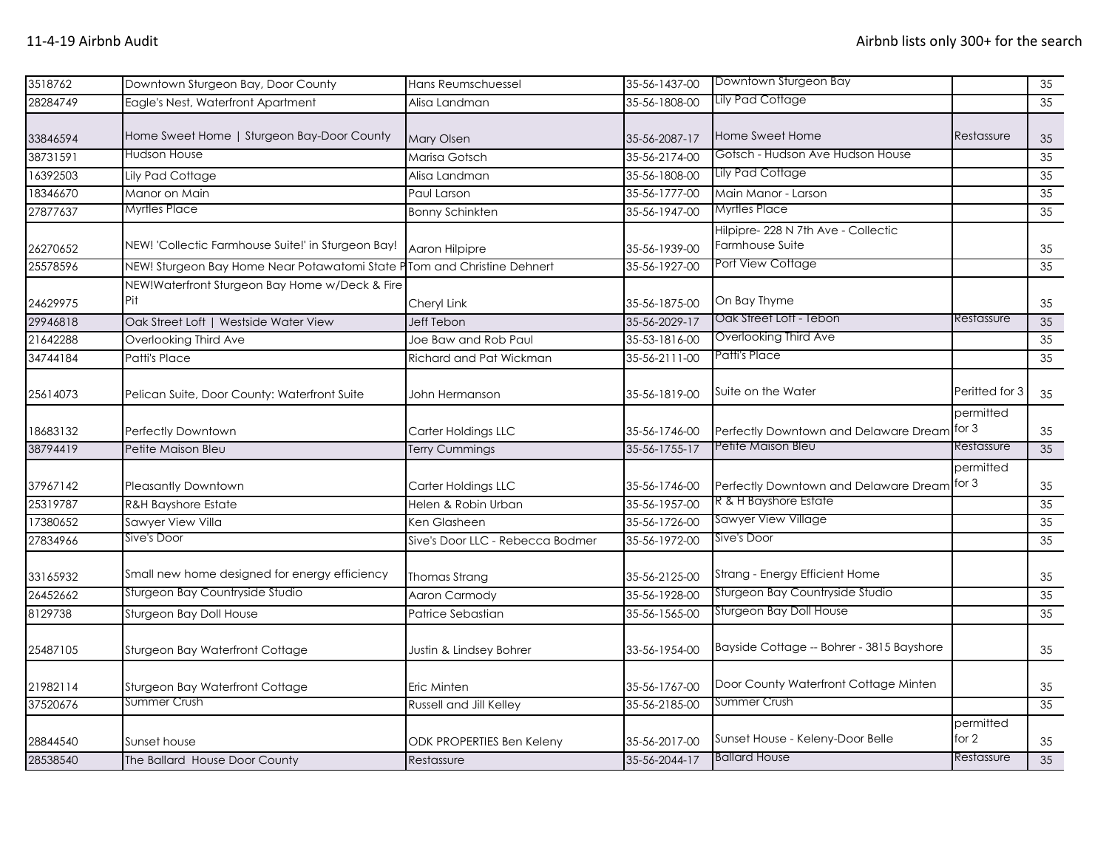| 3518762  | Downtown Sturgeon Bay, Door County                                      | Hans Reumschuessel               | 35-56-1437-00 | Downtown Sturgeon Bay                                  |                      | 35              |
|----------|-------------------------------------------------------------------------|----------------------------------|---------------|--------------------------------------------------------|----------------------|-----------------|
| 28284749 | Eagle's Nest, Waterfront Apartment                                      | Alisa Landman                    | 35-56-1808-00 | Lily Pad Cottage                                       |                      | 35              |
| 33846594 | Home Sweet Home   Sturgeon Bay-Door County                              | <b>Mary Olsen</b>                | 35-56-2087-17 | Home Sweet Home                                        | Restassure           | 35              |
| 38731591 | Hudson House                                                            | Marisa Gotsch                    | 35-56-2174-00 | Gotsch - Hudson Ave Hudson House                       |                      | 35              |
| 16392503 | Lily Pad Cottage                                                        | Alisa Landman                    | 35-56-1808-00 | <b>Lily Pad Cottage</b>                                |                      | 35              |
| 18346670 | Manor on Main                                                           | Paul Larson                      | 35-56-1777-00 | Main Manor - Larson                                    |                      | 35              |
| 27877637 | Myrtles Place                                                           | <b>Bonny Schinkten</b>           | 35-56-1947-00 | <b>Myrtles Place</b>                                   |                      | 35              |
| 26270652 | NEW! 'Collectic Farmhouse Suite!' in Sturgeon Bay!                      | Aaron Hilpipre                   | 35-56-1939-00 | Hilpipre- 228 N 7th Ave - Collectic<br>Farmhouse Suite |                      | 35              |
| 25578596 | NEW! Sturgeon Bay Home Near Potawatomi State PTom and Christine Dehnert |                                  | 35-56-1927-00 | Port View Cottage                                      |                      | $\overline{35}$ |
| 24629975 | NEW!Waterfront Sturgeon Bay Home w/Deck & Fire<br>Pit                   | Cheryl Link                      | 35-56-1875-00 | On Bay Thyme<br>Oak Street Loft - Tebon                |                      | 35              |
| 29946818 | Oak Street Loft   Westside Water View                                   | <b>Jeff Tebon</b>                | 35-56-2029-17 |                                                        | Restassure           | 35              |
| 21642288 | Overlooking Third Ave                                                   | Joe Baw and Rob Paul             | 35-53-1816-00 | Overlooking Third Ave                                  |                      | 35              |
| 34744184 | <b>Patti's Place</b>                                                    | Richard and Pat Wickman          | 35-56-2111-00 | Patti's Place                                          |                      | 35              |
| 25614073 | Pelican Suite, Door County: Waterfront Suite                            | John Hermanson                   | 35-56-1819-00 | Suite on the Water                                     | Peritted for 3       | 35              |
| 18683132 | Perfectly Downtown                                                      | Carter Holdings LLC              | 35-56-1746-00 | Perfectly Downtown and Delaware Dream                  | permitted<br>for $3$ | 35              |
| 38794419 | Petite Maison Bleu                                                      | Terry Cummings                   | 35-56-1755-17 | Petite Maison Bleu                                     | Restassure           | 35              |
| 37967142 | Pleasantly Downtown                                                     | Carter Holdings LLC              | 35-56-1746-00 | Perfectly Downtown and Delaware Dream                  | permitted<br>for $3$ | 35              |
| 25319787 | R&H Bayshore Estate                                                     | Helen & Robin Urban              | 35-56-1957-00 | R & H Bayshore Estate                                  |                      | 35              |
| 17380652 | Sawyer View Villa                                                       | Ken Glasheen                     | 35-56-1726-00 | <b>Sawyer View Village</b>                             |                      | 35              |
| 27834966 | Sive's Door                                                             | Sive's Door LLC - Rebecca Bodmer | 35-56-1972-00 | Sive's Door                                            |                      | $\overline{35}$ |
| 33165932 | Small new home designed for energy efficiency                           | Thomas Strang                    | 35-56-2125-00 | Strang - Energy Efficient Home                         |                      | 35              |
| 26452662 | Sturgeon Bay Countryside Studio                                         | Aaron Carmody                    | 35-56-1928-00 | Sturgeon Bay Countryside Studio                        |                      | 35              |
| 8129738  | Sturgeon Bay Doll House                                                 | Patrice Sebastian                | 35-56-1565-00 | Sturgeon Bay Doll House                                |                      | 35              |
| 25487105 | Sturgeon Bay Waterfront Cottage                                         | Justin & Lindsey Bohrer          | 33-56-1954-00 | Bayside Cottage -- Bohrer - 3815 Bayshore              |                      | 35              |
| 21982114 | Sturgeon Bay Waterfront Cottage                                         | Eric Minten                      | 35-56-1767-00 | Door County Waterfront Cottage Minten                  |                      | 35              |
| 37520676 | Summer Crush                                                            | Russell and Jill Kelley          | 35-56-2185-00 | Summer Crush                                           |                      | 35              |
| 28844540 | Sunset house                                                            | <b>ODK PROPERTIES Ben Keleny</b> | 35-56-2017-00 | Sunset House - Keleny-Door Belle                       | permitted<br>for 2   | 35              |
| 28538540 | The Ballard House Door County                                           | Restassure                       | 35-56-2044-17 | <b>Ballard House</b>                                   | Restassure           | 35              |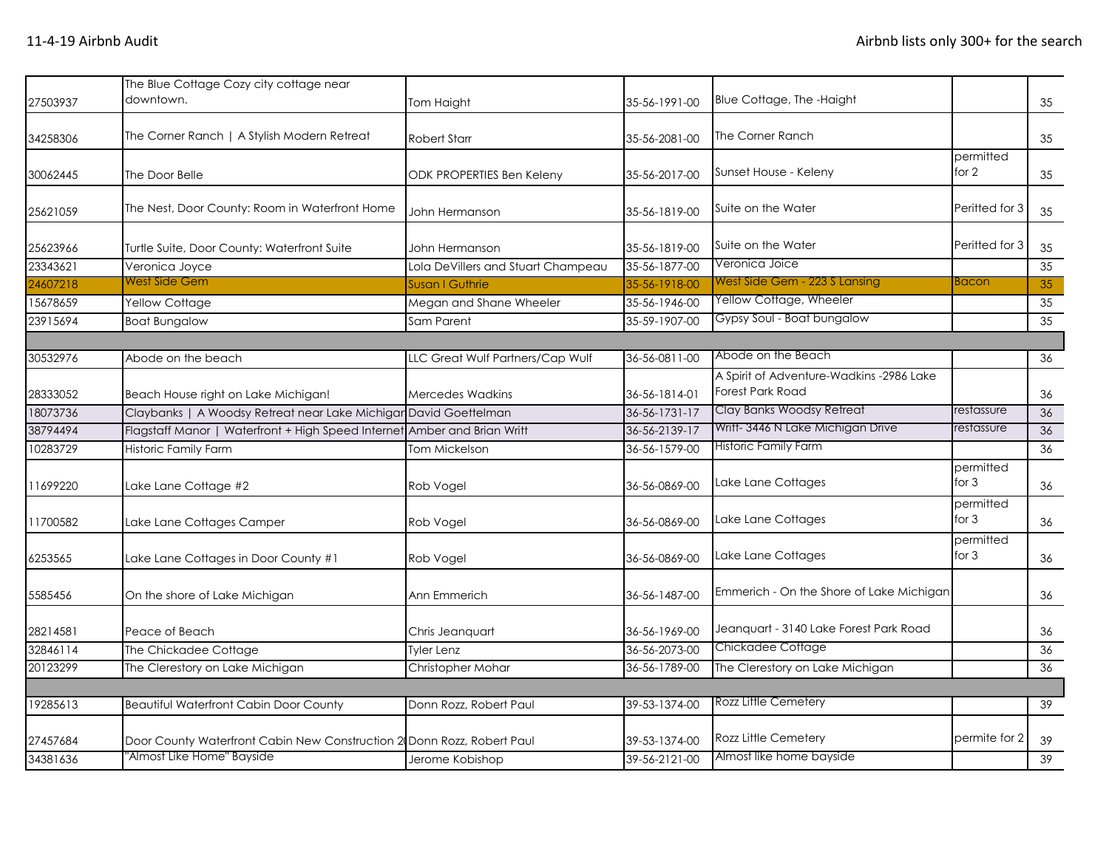| 27503937 | The Blue Cottage Cozy city cottage near<br>downtown.                   | Tom Haight                         | 35-56-1991-00 | Blue Cottage, The -Haight                                           |                      | 35 |
|----------|------------------------------------------------------------------------|------------------------------------|---------------|---------------------------------------------------------------------|----------------------|----|
| 34258306 | The Corner Ranch   A Stylish Modern Retreat                            | <b>Robert Starr</b>                | 35-56-2081-00 | The Corner Ranch                                                    |                      | 35 |
| 30062445 | The Door Belle                                                         | <b>ODK PROPERTIES Ben Keleny</b>   | 35-56-2017-00 | Sunset House - Keleny                                               | permitted<br>for $2$ | 35 |
| 25621059 | The Nest, Door County: Room in Waterfront Home                         | John Hermanson                     | 35-56-1819-00 | Suite on the Water                                                  | Peritted for 3       | 35 |
| 25623966 | Turtle Suite, Door County: Waterfront Suite                            | John Hermanson                     | 35-56-1819-00 | Suite on the Water                                                  | Peritted for 3       | 35 |
| 23343621 | Veronica Joyce                                                         | Lola DeVillers and Stuart Champeau | 35-56-1877-00 | Veronica Joice                                                      |                      | 35 |
| 24607218 | West Side Gem                                                          | Susan I Guthrie                    | 35-56-1918-00 | West Side Gem - 223 S Lansing                                       | <b>Bacon</b>         | 35 |
| 15678659 | Yellow Cottage                                                         | Megan and Shane Wheeler            | 35-56-1946-00 | Yellow Cottage, Wheeler                                             |                      | 35 |
| 23915694 | <b>Boat Bungalow</b>                                                   | Sam Parent                         | 35-59-1907-00 | Gypsy Soul - Boat bungalow                                          |                      | 35 |
|          |                                                                        |                                    |               |                                                                     |                      |    |
| 30532976 | Abode on the beach                                                     | LLC Great Wulf Partners/Cap Wulf   | 36-56-0811-00 | Abode on the Beach                                                  |                      | 36 |
| 28333052 | Beach House right on Lake Michigan!                                    | <b>Mercedes Wadkins</b>            | 36-56-1814-01 | A Spirit of Adventure-Wadkins -2986 Lake<br><b>Forest Park Road</b> |                      | 36 |
| 18073736 | Claybanks   A Woodsy Retreat near Lake Michigar David Goettelman       |                                    | 36-56-1731-17 | Clay Banks Woodsy Retreat                                           | restassure           | 36 |
| 38794494 | Flagstaff Manor   Waterfront + High Speed Internet                     | Amber and Brian Writt              | 36-56-2139-17 | Writt-3446 N Lake Michigan Drive                                    | restassure           | 36 |
| 10283729 | Historic Family Farm                                                   | Tom Mickelson                      | 36-56-1579-00 | <b>Historic Family Farm</b>                                         |                      | 36 |
| 11699220 | Lake Lane Cottage #2                                                   | Rob Vogel                          | 36-56-0869-00 | Lake Lane Cottages                                                  | permitted<br>for $3$ | 36 |
| 11700582 | Lake Lane Cottages Camper                                              | Rob Vogel                          | 36-56-0869-00 | Lake Lane Cottages                                                  | permitted<br>for $3$ | 36 |
| 6253565  | Lake Lane Cottages in Door County #1                                   | Rob Vogel                          | 36-56-0869-00 | Lake Lane Cottages                                                  | permitted<br>for $3$ | 36 |
| 5585456  | On the shore of Lake Michigan                                          | Ann Emmerich                       | 36-56-1487-00 | Emmerich - On the Shore of Lake Michigan                            |                      | 36 |
| 28214581 | Peace of Beach                                                         | Chris Jeanquart                    | 36-56-1969-00 | Jeanquart - 3140 Lake Forest Park Road                              |                      | 36 |
| 32846114 | The Chickadee Cottage                                                  | Tyler Lenz                         | 36-56-2073-00 | Chickadee Cottage                                                   |                      | 36 |
| 20123299 | The Clerestory on Lake Michigan                                        | Christopher Mohar                  | 36-56-1789-00 | The Clerestory on Lake Michigan                                     |                      | 36 |
|          |                                                                        |                                    |               |                                                                     |                      |    |
| 19285613 | <b>Beautiful Waterfront Cabin Door County</b>                          | Donn Rozz, Robert Paul             | 39-53-1374-00 | Rozz Little Cemetery                                                |                      | 39 |
| 27457684 | Door County Waterfront Cabin New Construction 2 Donn Rozz, Robert Paul |                                    | 39-53-1374-00 | Rozz Little Cemetery                                                | permite for 2        | 39 |
| 34381636 | "Almost Like Home" Bayside                                             | Jerome Kobishop                    | 39-56-2121-00 | Almost like home bayside                                            |                      | 39 |
|          |                                                                        |                                    |               |                                                                     |                      |    |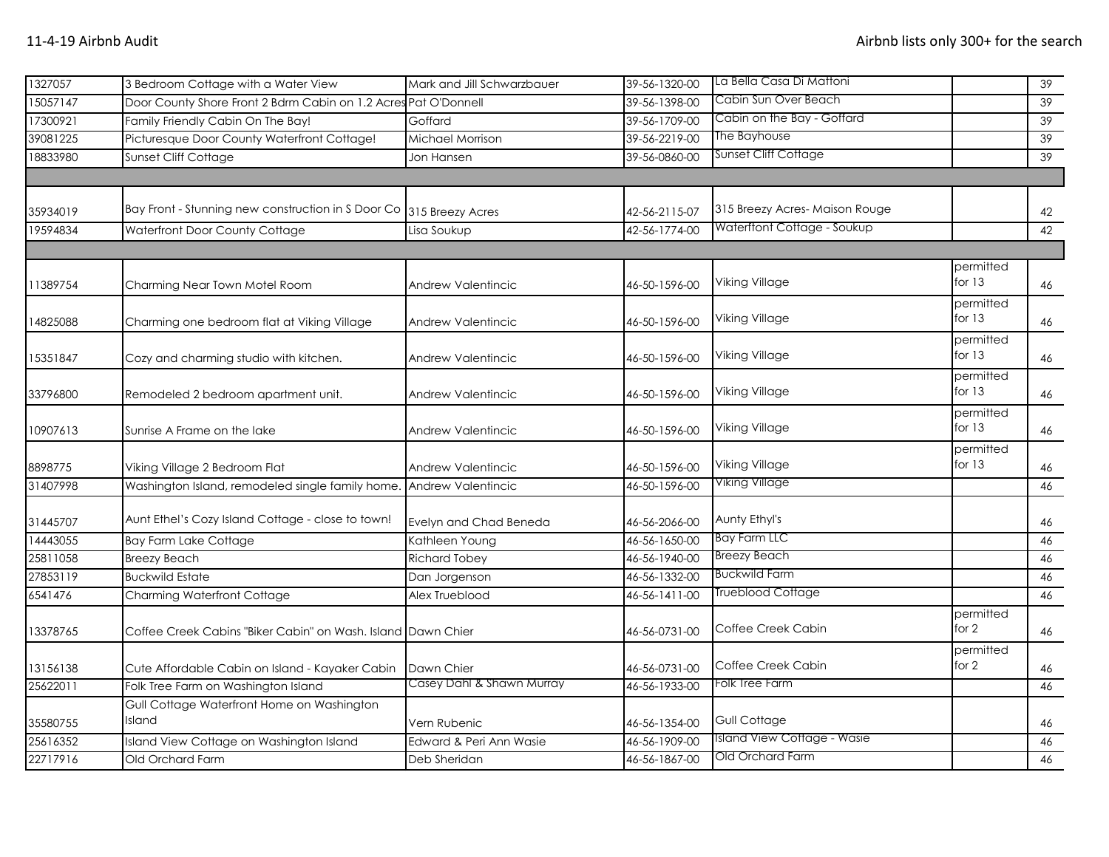| 1327057  | 3 Bedroom Cottage with a Water View                             | Mark and Jill Schwarzbauer | 39-56-1320-00 | La Bella Casa Di Mattoni      |                       | 39 |
|----------|-----------------------------------------------------------------|----------------------------|---------------|-------------------------------|-----------------------|----|
| 15057147 | Door County Shore Front 2 Bdrm Cabin on 1.2 Acres Pat O'Donnell |                            | 39-56-1398-00 | Cabin Sun Over Beach          |                       | 39 |
| 17300921 | Family Friendly Cabin On The Bay!                               | Goffard                    | 39-56-1709-00 | Cabin on the Bay - Goffard    |                       | 39 |
| 39081225 | Picturesque Door County Waterfront Cottage!                     | Michael Morrison           | 39-56-2219-00 | The Bayhouse                  |                       | 39 |
| 18833980 | Sunset Cliff Cottage                                            | Jon Hansen                 | 39-56-0860-00 | Sunset Cliff Cottage          |                       | 39 |
|          |                                                                 |                            |               |                               |                       |    |
| 35934019 | Bay Front - Stunning new construction in S Door Co              | 315 Breezy Acres           | 42-56-2115-07 | 315 Breezy Acres-Maison Rouge |                       | 42 |
| 19594834 | Waterfront Door County Cottage                                  | Lisa Soukup                | 42-56-1774-00 | Waterftont Cottage - Soukup   |                       | 42 |
|          |                                                                 |                            |               |                               |                       |    |
| 11389754 | Charming Near Town Motel Room                                   | Andrew Valentincic         | 46-50-1596-00 | Viking Village                | permitted<br>for $13$ | 46 |
| 14825088 | Charming one bedroom flat at Viking Village                     | <b>Andrew Valentincic</b>  | 46-50-1596-00 | <b>Viking Village</b>         | permitted<br>for $13$ | 46 |
| 15351847 | Cozy and charming studio with kitchen.                          | <b>Andrew Valentincic</b>  | 46-50-1596-00 | Viking Village                | permitted<br>for $13$ | 46 |
| 33796800 | Remodeled 2 bedroom apartment unit.                             | <b>Andrew Valentincic</b>  | 46-50-1596-00 | Viking Village                | permitted<br>for $13$ | 46 |
| 10907613 | Sunrise A Frame on the lake                                     | <b>Andrew Valentincic</b>  | 46-50-1596-00 | Viking Village                | permitted<br>for $13$ | 46 |
| 8898775  | Viking Village 2 Bedroom Flat                                   | <b>Andrew Valentincic</b>  | 46-50-1596-00 | Viking Village                | permitted<br>for $13$ | 46 |
| 31407998 | Washington Island, remodeled single family home.                | Andrew Valentincic         | 46-50-1596-00 | Viking Village                |                       | 46 |
| 31445707 | Aunt Ethel's Cozy Island Cottage - close to town!               | Evelyn and Chad Beneda     | 46-56-2066-00 | Aunty Ethyl's                 |                       | 46 |
| 14443055 | <b>Bay Farm Lake Cottage</b>                                    | Kathleen Young             | 46-56-1650-00 | <b>Bay Farm LLC</b>           |                       | 46 |
| 25811058 | <b>Breezy Beach</b>                                             | <b>Richard Tobey</b>       | 46-56-1940-00 | <b>Breezy Beach</b>           |                       | 46 |
| 27853119 | <b>Buckwild Estate</b>                                          | Dan Jorgenson              | 46-56-1332-00 | <b>Buckwild Farm</b>          |                       | 46 |
| 6541476  | <b>Charming Waterfront Cottage</b>                              | Alex Trueblood             | 46-56-1411-00 | <b>Trueblood Cottage</b>      |                       | 46 |
| 13378765 | Coffee Creek Cabins "Biker Cabin" on Wash. Island Dawn Chier    |                            | 46-56-0731-00 | Coffee Creek Cabin            | permitted<br>for $2$  | 46 |
| 13156138 | Cute Affordable Cabin on Island - Kayaker Cabin                 | Dawn Chier                 | 46-56-0731-00 | Coffee Creek Cabin            | permitted<br>for 2    | 46 |
| 25622011 | Folk Tree Farm on Washington Island                             | Casey Dahl & Shawn Murray  | 46-56-1933-00 | Folk Tree Farm                |                       | 46 |
| 35580755 | Gull Cottage Waterfront Home on Washington<br>Island            | Vern Rubenic               | 46-56-1354-00 | <b>Gull Cottage</b>           |                       | 46 |
| 25616352 | Island View Cottage on Washington Island                        | Edward & Peri Ann Wasie    | 46-56-1909-00 | Island View Cottage - Wasie   |                       | 46 |
| 22717916 | Old Orchard Farm                                                | Deb Sheridan               | 46-56-1867-00 | Old Orchard Farm              |                       | 46 |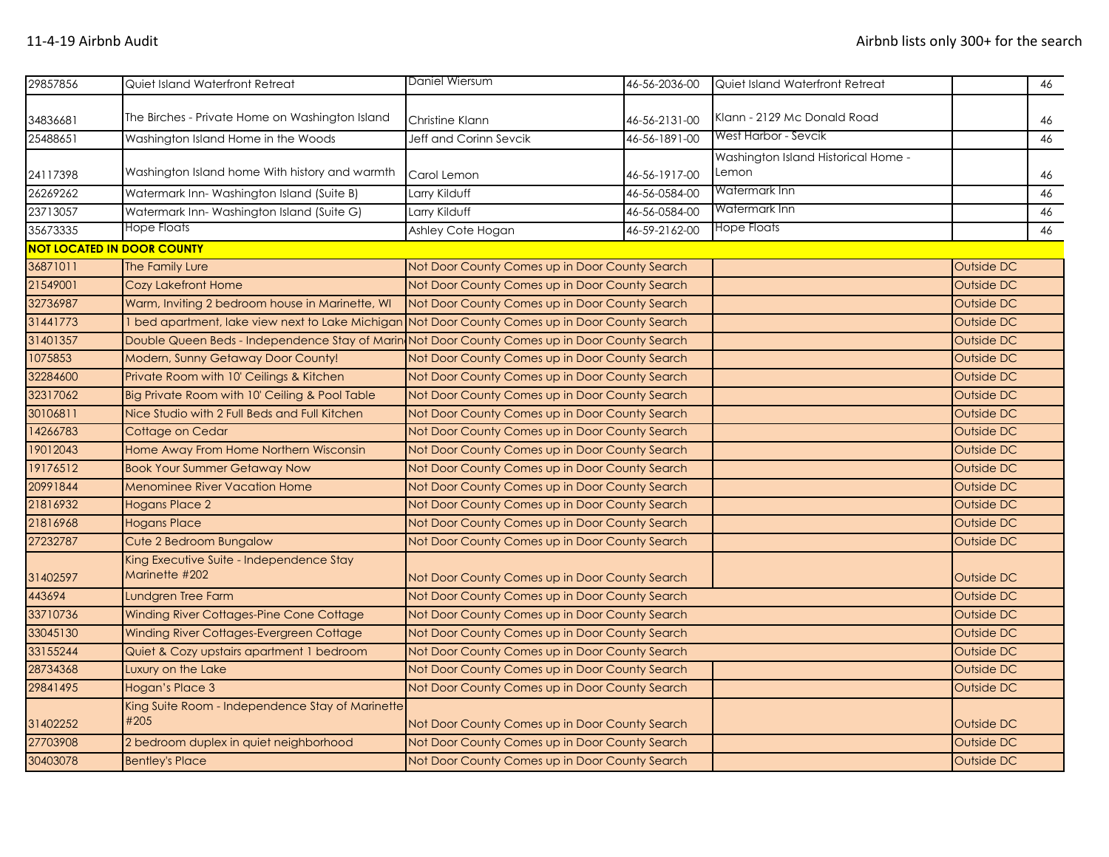| 29857856 | Quiet Island Waterfront Retreat                                                                 | Daniel Wiersum                                 | 46-56-2036-00 | Quiet Island Waterfront Retreat              |                   | 46 |  |
|----------|-------------------------------------------------------------------------------------------------|------------------------------------------------|---------------|----------------------------------------------|-------------------|----|--|
|          | The Birches - Private Home on Washington Island                                                 |                                                |               | Klann - 2129 Mc Donald Road                  |                   |    |  |
| 34836681 |                                                                                                 | Christine Klann                                | 46-56-2131-00 |                                              |                   | 46 |  |
| 25488651 | Washington Island Home in the Woods                                                             | Jeff and Corinn Sevcik                         | 46-56-1891-00 | West Harbor - Sevcik                         |                   | 46 |  |
| 24117398 | Washington Island home With history and warmth                                                  | Carol Lemon                                    | 46-56-1917-00 | Washington Island Historical Home -<br>Lemon |                   | 46 |  |
| 26269262 | Watermark Inn-Washington Island (Suite B)                                                       | Larry Kilduff                                  | 46-56-0584-00 | Watermark Inn                                |                   | 46 |  |
| 23713057 | Watermark Inn-Washington Island (Suite G)                                                       | Larry Kilduff                                  | 46-56-0584-00 | Watermark Inn                                |                   | 46 |  |
| 35673335 | Hope Floats                                                                                     | Ashley Cote Hogan                              | 46-59-2162-00 | Hope Floats                                  |                   | 46 |  |
|          | <b>NOT LOCATED IN DOOR COUNTY</b>                                                               |                                                |               |                                              |                   |    |  |
| 36871011 | The Family Lure                                                                                 | Not Door County Comes up in Door County Search |               |                                              | Outside DC        |    |  |
| 21549001 | <b>Cozy Lakefront Home</b>                                                                      | Not Door County Comes up in Door County Search |               |                                              | Outside DC        |    |  |
| 32736987 | Warm, Inviting 2 bedroom house in Marinette, WI                                                 | Not Door County Comes up in Door County Search |               |                                              | Outside DC        |    |  |
| 31441773 | 1 bed apartment, lake view next to Lake Michigan Not Door County Comes up in Door County Search |                                                |               |                                              | Outside DC        |    |  |
| 31401357 | Double Queen Beds - Independence Stay of Marin Not Door County Comes up in Door County Search   |                                                |               |                                              | Outside DC        |    |  |
| 1075853  | Modern, Sunny Getaway Door County!                                                              | Not Door County Comes up in Door County Search |               |                                              | Outside DC        |    |  |
| 32284600 | Private Room with 10' Ceilings & Kitchen                                                        | Not Door County Comes up in Door County Search |               |                                              | Outside DC        |    |  |
| 32317062 | Big Private Room with 10' Ceiling & Pool Table                                                  | Not Door County Comes up in Door County Search |               |                                              | Outside DC        |    |  |
| 30106811 | Nice Studio with 2 Full Beds and Full Kitchen                                                   | Not Door County Comes up in Door County Search |               |                                              | Outside DC        |    |  |
| 14266783 | Cottage on Cedar                                                                                | Not Door County Comes up in Door County Search |               |                                              | Outside DC        |    |  |
| 19012043 | Home Away From Home Northern Wisconsin                                                          | Not Door County Comes up in Door County Search |               |                                              | Outside DC        |    |  |
| 19176512 | <b>Book Your Summer Getaway Now</b>                                                             | Not Door County Comes up in Door County Search |               |                                              | <b>Outside DC</b> |    |  |
| 20991844 | <b>Menominee River Vacation Home</b>                                                            | Not Door County Comes up in Door County Search |               |                                              | Outside DC        |    |  |
| 21816932 | <b>Hogans Place 2</b>                                                                           | Not Door County Comes up in Door County Search |               |                                              | Outside DC        |    |  |
| 21816968 | <b>Hogans Place</b>                                                                             | Not Door County Comes up in Door County Search |               |                                              | Outside DC        |    |  |
| 27232787 | Cute 2 Bedroom Bungalow                                                                         | Not Door County Comes up in Door County Search |               |                                              | Outside DC        |    |  |
| 31402597 | King Executive Suite - Independence Stay<br>Marinette #202                                      | Not Door County Comes up in Door County Search |               |                                              | Outside DC        |    |  |
| 443694   | Lundgren Tree Farm                                                                              | Not Door County Comes up in Door County Search |               |                                              | Outside DC        |    |  |
| 33710736 | Winding River Cottages-Pine Cone Cottage                                                        | Not Door County Comes up in Door County Search |               |                                              | Outside DC        |    |  |
| 33045130 | Winding River Cottages-Evergreen Cottage                                                        | Not Door County Comes up in Door County Search |               |                                              | Outside DC        |    |  |
| 33155244 | Quiet & Cozy upstairs apartment 1 bedroom                                                       | Not Door County Comes up in Door County Search |               |                                              | Outside DC        |    |  |
| 28734368 | Luxury on the Lake                                                                              | Not Door County Comes up in Door County Search |               |                                              | Outside DC        |    |  |
| 29841495 | Hogan's Place 3                                                                                 | Not Door County Comes up in Door County Search |               |                                              | Outside DC        |    |  |
| 31402252 | King Suite Room - Independence Stay of Marinette<br>#205                                        | Not Door County Comes up in Door County Search |               |                                              | Outside DC        |    |  |
| 27703908 | 2 bedroom duplex in quiet neighborhood                                                          | Not Door County Comes up in Door County Search |               |                                              | Outside DC        |    |  |
| 30403078 | <b>Bentley's Place</b>                                                                          | Not Door County Comes up in Door County Search |               |                                              | Outside DC        |    |  |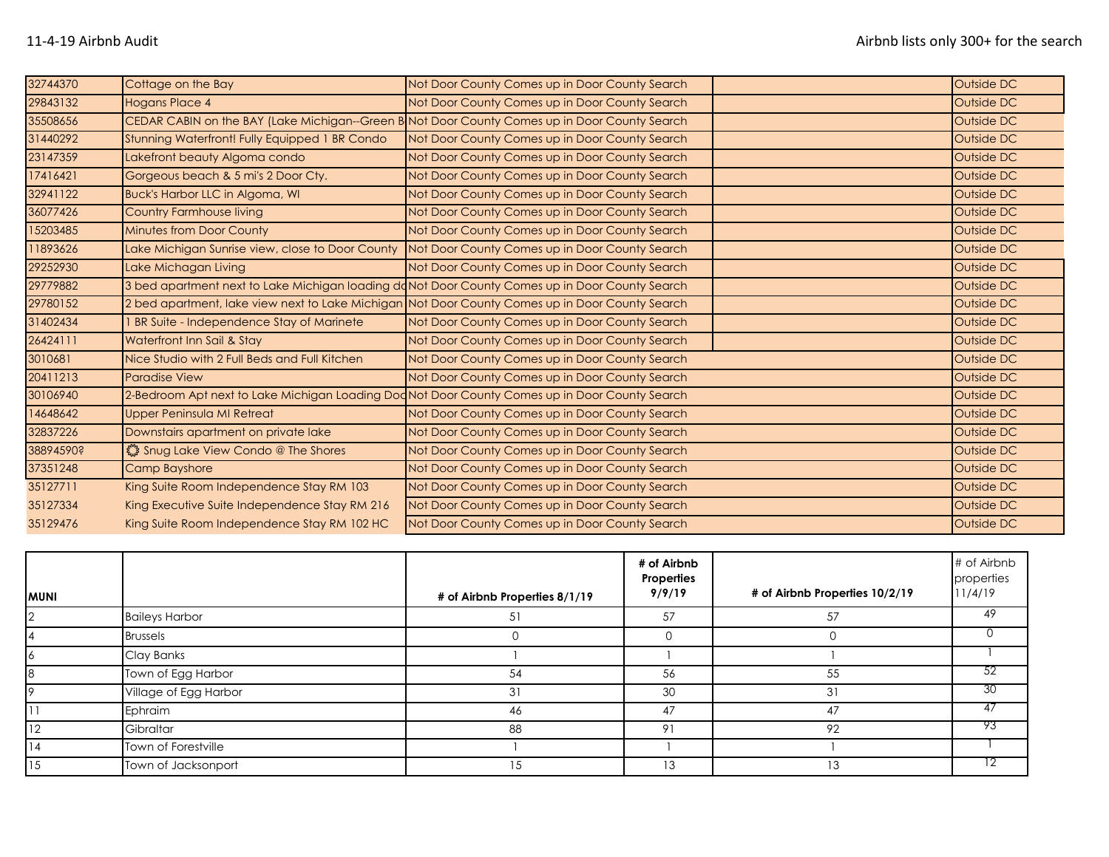| 32744370  | Cottage on the Bay                                                                             | Not Door County Comes up in Door County Search                                                  | Outside DC |
|-----------|------------------------------------------------------------------------------------------------|-------------------------------------------------------------------------------------------------|------------|
| 29843132  | <b>Hogans Place 4</b>                                                                          | Not Door County Comes up in Door County Search                                                  | Outside DC |
| 35508656  |                                                                                                | CEDAR CABIN on the BAY (Lake Michigan--Green B Not Door County Comes up in Door County Search   | Outside DC |
| 31440292  | Stunning Waterfront! Fully Equipped 1 BR Condo                                                 | Not Door County Comes up in Door County Search                                                  | Outside DC |
| 23147359  | Lakefront beauty Algoma condo                                                                  | Not Door County Comes up in Door County Search                                                  | Outside DC |
| 17416421  | Gorgeous beach & 5 mi's 2 Door Cty.                                                            | Not Door County Comes up in Door County Search                                                  | Outside DC |
| 32941122  | <b>Buck's Harbor LLC in Algoma, WI</b>                                                         | Not Door County Comes up in Door County Search                                                  | Outside DC |
| 36077426  | <b>Country Farmhouse living</b>                                                                | Not Door County Comes up in Door County Search                                                  | Outside DC |
| 15203485  | <b>Minutes from Door County</b>                                                                | Not Door County Comes up in Door County Search                                                  | Outside DC |
| 11893626  | Lake Michigan Sunrise view, close to Door County                                               | Not Door County Comes up in Door County Search                                                  | Outside DC |
| 29252930  | Lake Michagan Living                                                                           | Not Door County Comes up in Door County Search                                                  | Outside DC |
| 29779882  | 3 bed apartment next to Lake Michigan loading doNot Door County Comes up in Door County Search |                                                                                                 | Outside DC |
| 29780152  |                                                                                                | 2 bed apartment, lake view next to Lake Michigan Not Door County Comes up in Door County Search | Outside DC |
| 31402434  | BR Suite - Independence Stay of Marinete                                                       | Not Door County Comes up in Door County Search                                                  | Outside DC |
| 26424111  | Waterfront Inn Sail & Stay                                                                     | Not Door County Comes up in Door County Search                                                  | Outside DC |
| 3010681   | Nice Studio with 2 Full Beds and Full Kitchen                                                  | Not Door County Comes up in Door County Search                                                  | Outside DC |
| 20411213  | <b>Paradise View</b>                                                                           | Not Door County Comes up in Door County Search                                                  | Outside DC |
| 30106940  |                                                                                                | 2-Bedroom Apt next to Lake Michigan Loading Doc Not Door County Comes up in Door County Search  | Outside DC |
| 14648642  | Upper Peninsula MI Retreat                                                                     | Not Door County Comes up in Door County Search                                                  | Outside DC |
| 32837226  | Downstairs apartment on private lake                                                           | Not Door County Comes up in Door County Search                                                  | Outside DC |
| 38894590? | ៉ឺ្លិះ Snug Lake View Condo @ The Shores                                                       | Not Door County Comes up in Door County Search                                                  | Outside DC |
| 37351248  | <b>Camp Bayshore</b>                                                                           | Not Door County Comes up in Door County Search                                                  | Outside DC |
| 35127711  | King Suite Room Independence Stay RM 103                                                       | Not Door County Comes up in Door County Search                                                  | Outside DC |
| 35127334  | King Executive Suite Independence Stay RM 216                                                  | Not Door County Comes up in Door County Search                                                  | Outside DC |
| 35129476  | King Suite Room Independence Stay RM 102 HC                                                    | Not Door County Comes up in Door County Search                                                  | Outside DC |

| IMUNI         |                       | # of Airbnb Properties 8/1/19 | # of Airbnb<br>Properties<br>9/9/19 | # of Airbnb Properties 10/2/19 | # of Airbnb<br>properties<br>11/4/19 |
|---------------|-----------------------|-------------------------------|-------------------------------------|--------------------------------|--------------------------------------|
| 2             | <b>Baileys Harbor</b> | 51                            | 57                                  | 57                             | 49                                   |
|               | <b>Brussels</b>       |                               |                                     |                                |                                      |
| $\circ$       | Clay Banks            |                               |                                     |                                |                                      |
| 8             | Town of Egg Harbor    | 54                            | 56                                  | 55                             |                                      |
| 9             | Village of Egg Harbor | 31                            | 30                                  | 31                             | 30                                   |
|               | Ephraim               | 46                            | 47                                  | 47                             | 47                                   |
| <sup>12</sup> | Gibraltar             | 88                            | 91                                  | 92                             | 93                                   |
| 14            | Town of Forestville   |                               |                                     |                                |                                      |
| 15            | Town of Jacksonport   | 15                            | 13                                  | 13                             | ΙZ                                   |